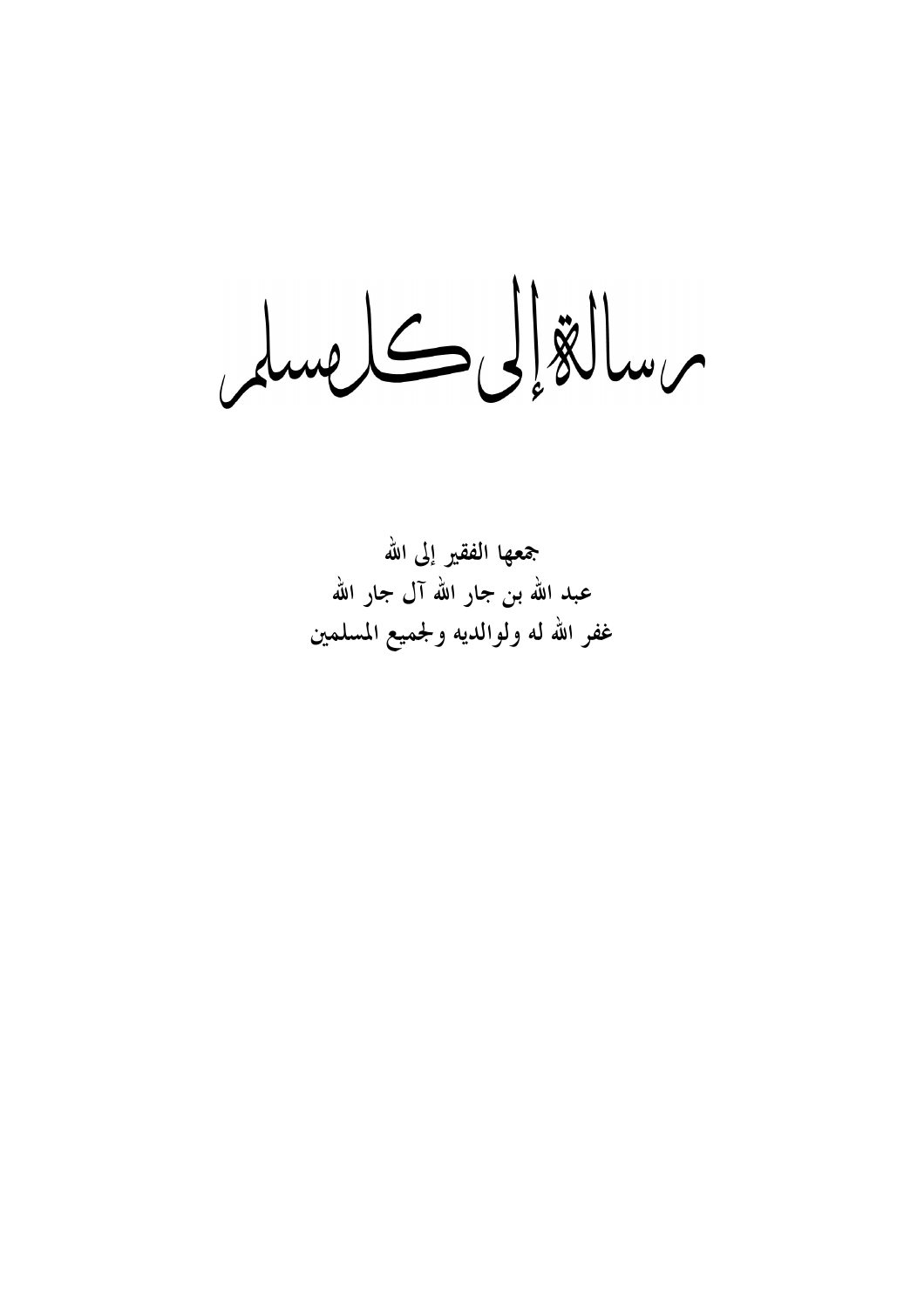une L S E

جمعها الفقير إلى الله عبد الله بن جار الله آل جار الله غفر الله له ولوالديه ولجميع المسلمين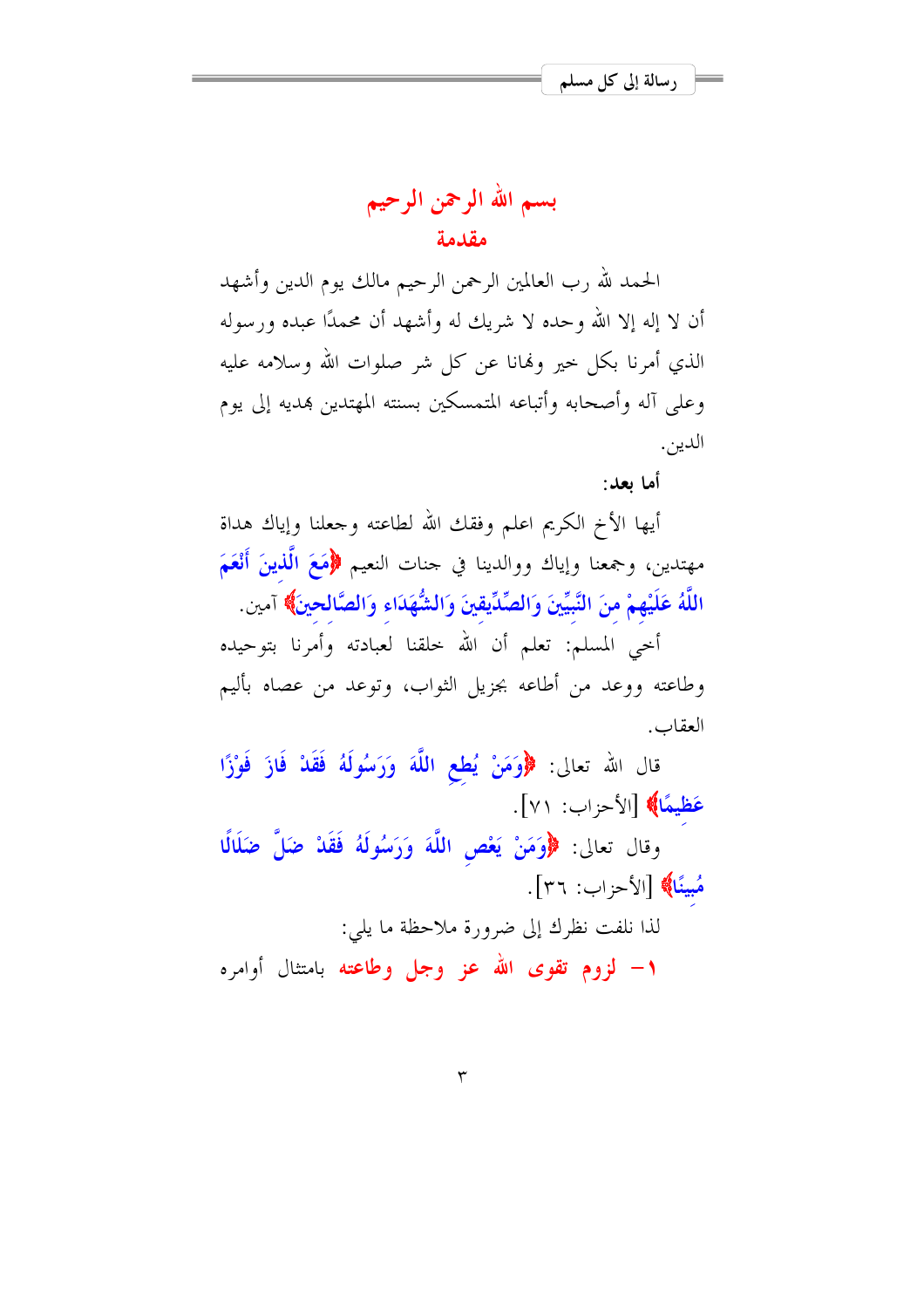بسم الله الرحمن الرحيم مقدمة

الحمد لله رب العالمين الرحمن الرحيم مالك يوم الدين وأشهد أن لا إله إلا الله وحده لا شريك له وأشهد أن محمدًا عبده ورسوله الذي أمرنا بكل حيرٍ ولهانا عن كلِّ شرِّ صلوات الله وسلامه عليه وعلى آله وأصحابه وأتباعه المتمسكين بسنته المهتدين هديه إلى يوم الدين.

أما بعد:

أيها الأخ الكريم اعلم وفقك الله لطاعته وجعلنا وإياك هداة مهتدين، وجمعنا وإياك ووالدينا في حنات النعيم ﴿مَعَ الَّذِينَ أَنْعَمَ اللَّهُ عَلَيْهِمْ منَ النَّبِيِّينَ وَالصِّدِّيقينَ وَالشُّهَدَاء وَالصَّالحينَ﴾ آمين.

أحيى المسلم: تعلم أن الله حلقنا لعبادته وأمرنا بتوحيده وطاعته ووعد من أطاعه بجزيل الثواب، وتوعد من عصاه بأليم العقاب.

قال الله تعالى: ﴿وَمَنْ يُطعِ اللَّهَ وَرَسُولَهُ فَقَدْ فَازَ فَوْزًا عَظِيمًا﴾ [الأحزاب: ٧١].

وقال تعالى: ﴿وَمَنْ يَعْصِ اللَّهَ وَرَسُولَهُ فَقَلْ ضَلَّ ضَلَالٌ هُبينًا﴾ [الأحزاب: ٣٦].

لذا نلفت نظرك إلى ضرورة ملاحظة ما يلي:

**۱**— لزوم تقوى الله عز وجل وطاعته بامتثال أوامره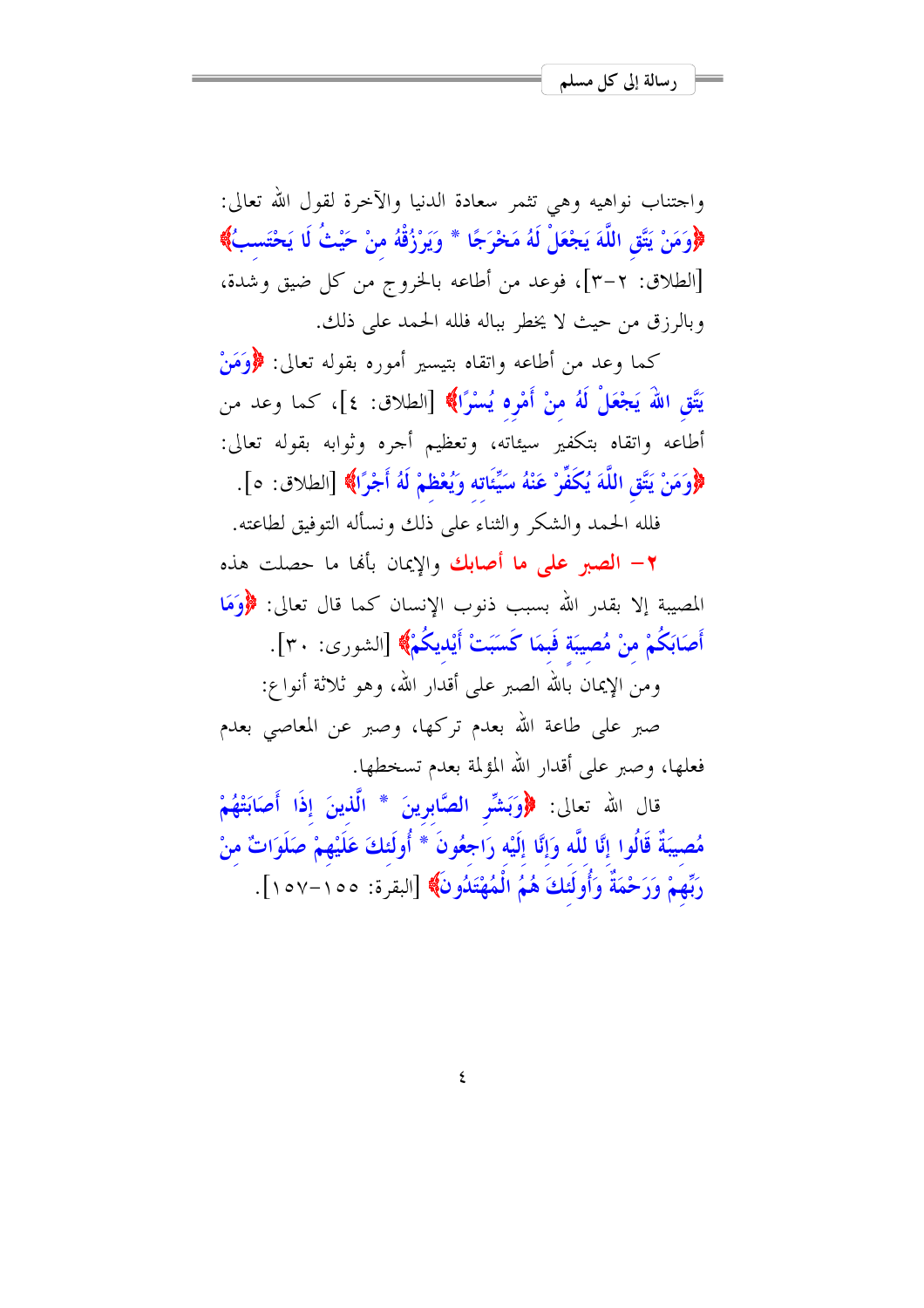واجتناب نواهيه وهي تثمر سعادة الدنيا والآخرة لقول الله تعالى: ﴿وَمَنْ يَتَّقِ اللَّهَ يَجْعَلْ لَهُ مَحْرَجًا \* وَيَرْزُقْهُ منْ حَيْثُ لَا يَحْتَسبُ﴾ [الطلاق: ٢–٣]، فوعد من أطاعه بالخروج من كل ضيق وشدة، وبالرزق من حيث لا يخطر بباله فلله الحمد على ذلك.

كما وعد من أطاعه واتقاه بتيسير أموره بقوله تعالى: ﴿وَمَنْ يَتَّقِ اللَّهَ يَجْعَلْ لَهُ منْ أَمْرِه يُسْرًا﴾ [الطلاق: ٤]، كما وعد من أطاعه واتقاه بتكفير سيئاته، وتعظيم أحره وثوابه بقوله تعالى: ﴿وَمَنْ يَتَّقِ اللَّهَ يُكَفِّرْ عَنْهُ سَيِّئَاته وَيُعْظِمْ لَهُ أَجْرًا﴾ [الطلاق: ٥].

فلله الحمد والشكر والثناء على ذلك ونسأله التوفيق لطاعته.

٢ - الصبر على ما أصابك والإيمان بألها ما حصلت هذه المصيبة إلا بقدر الله بسبب ذنوب الإنسان كما قال تعالى: ﴿وَمَا أَصَابَكُمْ منْ مُصيبَة فَبِمَا كَسَبَتْ أَيْدِيكُمْ﴾ [الشورى: ٣٠].

ومن الإيمان بالله الصبر على أقدار الله، وهو ثلاثة أنواع:

صبر على طاعة الله بعدم تركها، وصبر عن المعاصي بعدم فعلها، وصبر على أقدار الله المؤلمة بعدم تسخطها.

قال الله تعالى: ﴿وَبَشِّرِ الصَّابِرِينَ \* الَّذِينَ إِذَا أَصَابَتْهُمْ مُصيبَةٌ قَالُوا إِنَّا للَّه وَإِنَّا إِلَيْه رَاجِعُونَ \* أُولَئكَ عَلَيْهِمْ صَلَوَاتٌ منْ رَبِّهِمْ وَرَحْمَةٌ وَأُولَئِكَ هُمُ الْمُهْتَدُونَ﴾ [البقرة: ١٥٥-١٥٧].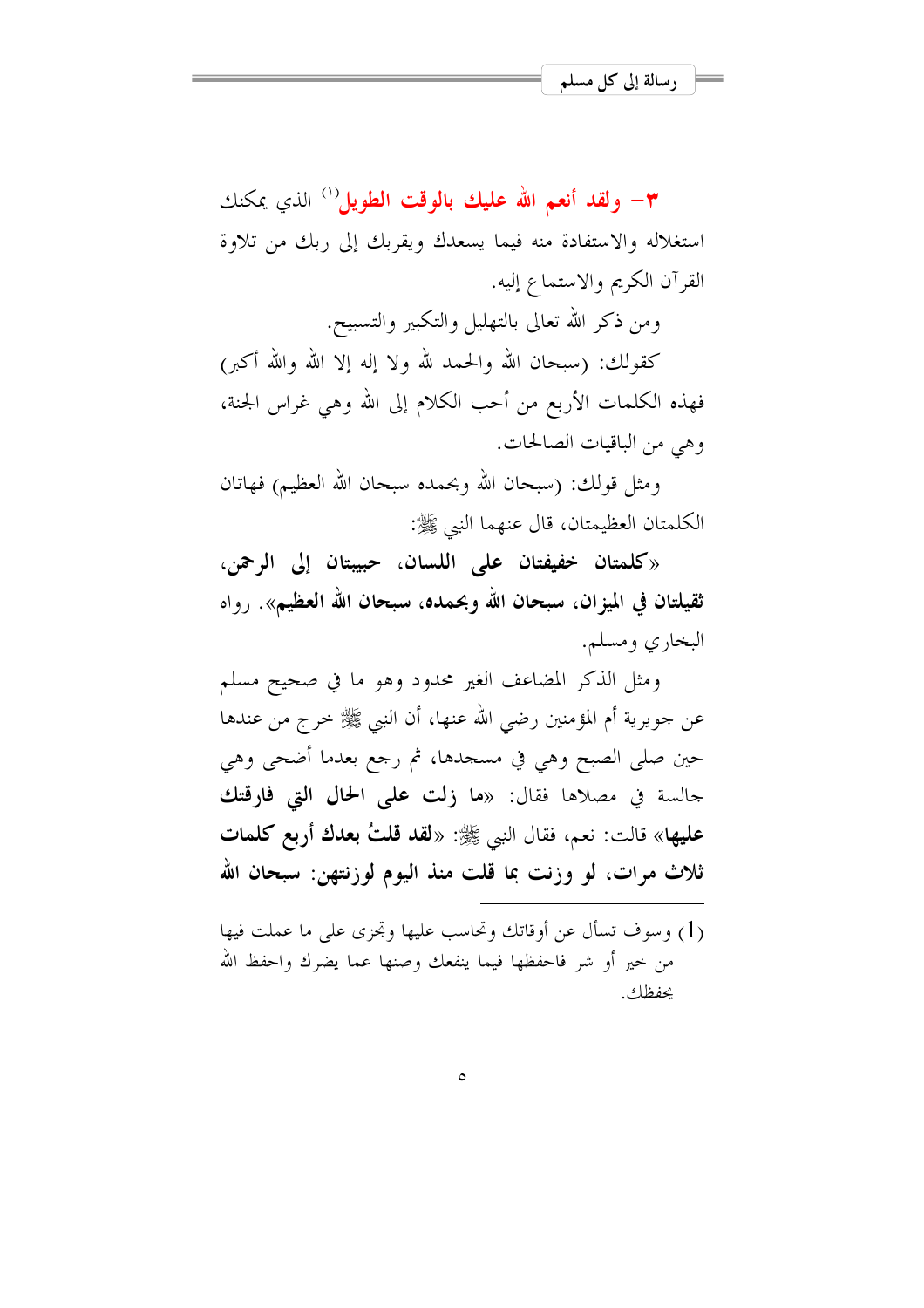٣– ولقد أنعم الله عليك بالوقت الطويل'' الذي يمكنك استغلاله والاستفادة منه فيما يسعدك ويقربك إلى ربك من تلاوة القرآن الكريم والاستماع إليه.

ومن ذكر الله تعالى بالتهليل والتكبير والتسبيح.

كقولك: (سبحان الله والحمد لله ولا إله إلا الله والله أكبر) فهذه الكلمات الأربع من أحب الكلام إلى الله وهي غراس الجنة، وهي من الباقيات الصالحات.

ومثل قولك: (سبحان الله وبحمده سبحان الله العظيم) فهاتان الكلمتان العظيمتان، قال عنهما النبي ﷺ:

«كلمتان خفيفتان على اللسان، حبيبتان إلى الرحمن، ثقيلتان في الميزان، سبحان الله وبحمده، سبحان الله العظيم». رواه البخاري ومسلم.

ومثل الذكر المضاعف الغير محدود وهو ما في صحيح مسلم عن جويرية أم المؤمنين رضي الله عنها، أن النبي ﷺ خرج من عندها حين صلى الصبح وهي في مسجدها، ثم رجع بعدما أضحى وهي جالسة في مصلاها فقال: «ما زلت على الحال التي فارقتك عليها» قالت: نعم، فقال النبي ﷺ: «لقد قلتُ بعدك أربع كلمات ثلاث مرات، لو وزنت بما قلت منذ اليوم لوزنتهن: سبحان الله

(1) وسوف تسأل عن أوقاتك وتحاسب عليها وتجزى على ما عملت فيها من خير أو شر فاحفظها فيما ينفعك وصنها عما يضرك واحفظ الله يحفظك.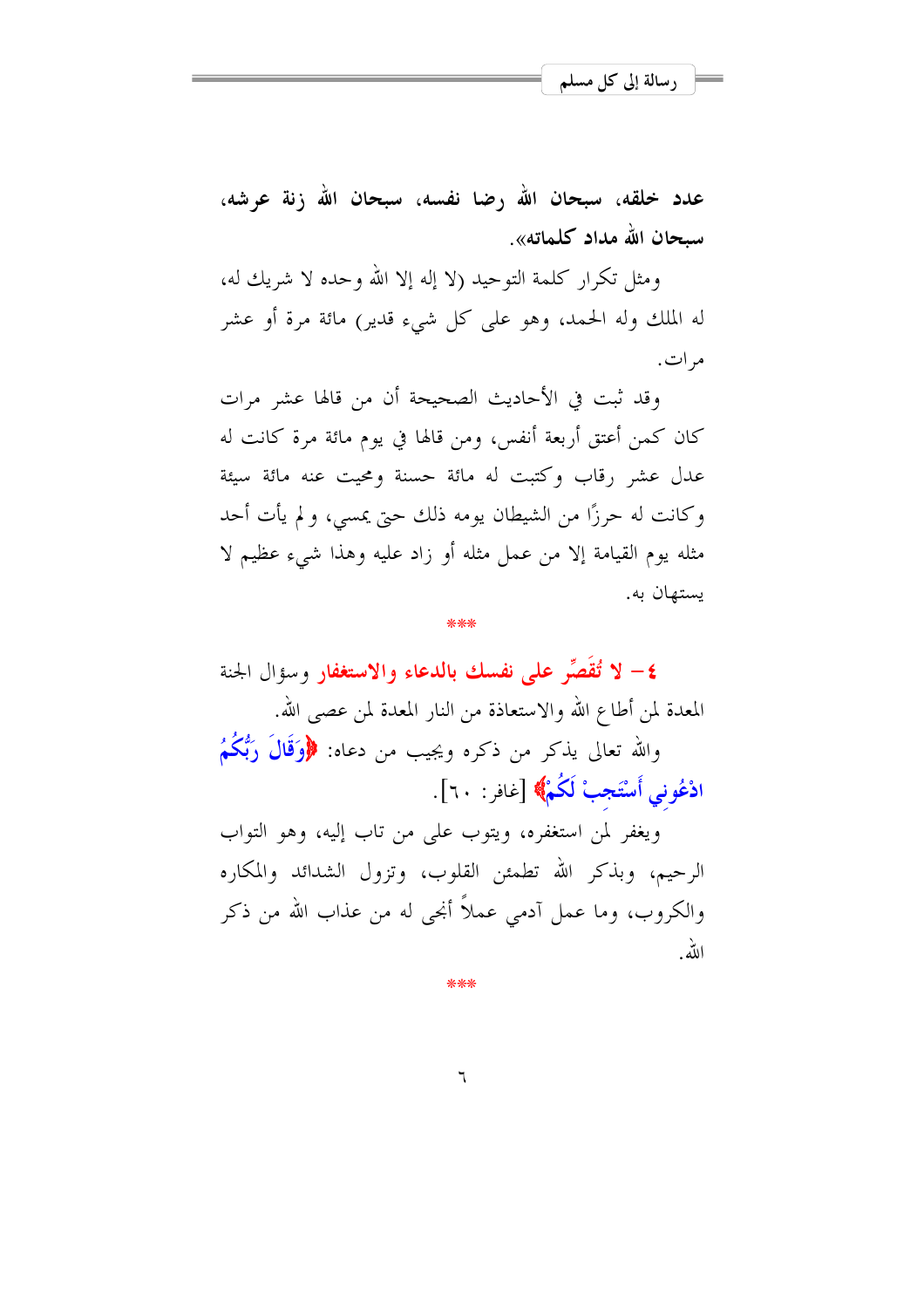عدد خلقه، سبحان الله رضا نفسه، سبحان الله زنة عرشه، سىحان الله مداد كلماته».

ومثل تكرار كلمة التوحيد (لا إله إلا الله وحده لا شريك له، له الملك وله الحمد، وهو على كل شيء قدير) مائة مرة أو عشر مرات.

وقد ثبت في الأحاديث الصحيحة أن من قالها عشر مرات كان كمن أعتق أربعة أنفس، ومن قالها في يوم مائة مرة كانت له عدل عشر رقاب وكتبت له مائة حسنة ومحيت عنه مائة سيئة وكانت له حرزًا من الشيطان يومه ذلك حتى يمسى، ولم يأت أحد مثله يوم القيامة إلا من عمل مثله أو زاد عليه وهذا شيء عظيم لا بستهان به.

٤- لا تُقَصِّر على نفسك بالدعاء والاستغفار وسؤال الحنة المعدة لمن أطاع الله والاستعاذة من النار المعدة لمن عصبي الله. والله تعالى يذكر من ذكره ويجيب من دعاه: ﴿وَقَالَ رَبُّكُمُ ادْعُونِي أَسْتَجِبْ لَكُمْ﴾ [غافر: ٢٠].

ويغفر لمن استغفره، ويتوب على من تاب إليه، وهو التواب الرحيم، وبذكر الله تطمئن القلوب، وتزول الشدائد والمكاره والكروب، وما عمل آدمي عملاً أنجي له من عذاب الله من ذكر الله

\*\*\*

 $\mathcal{L}$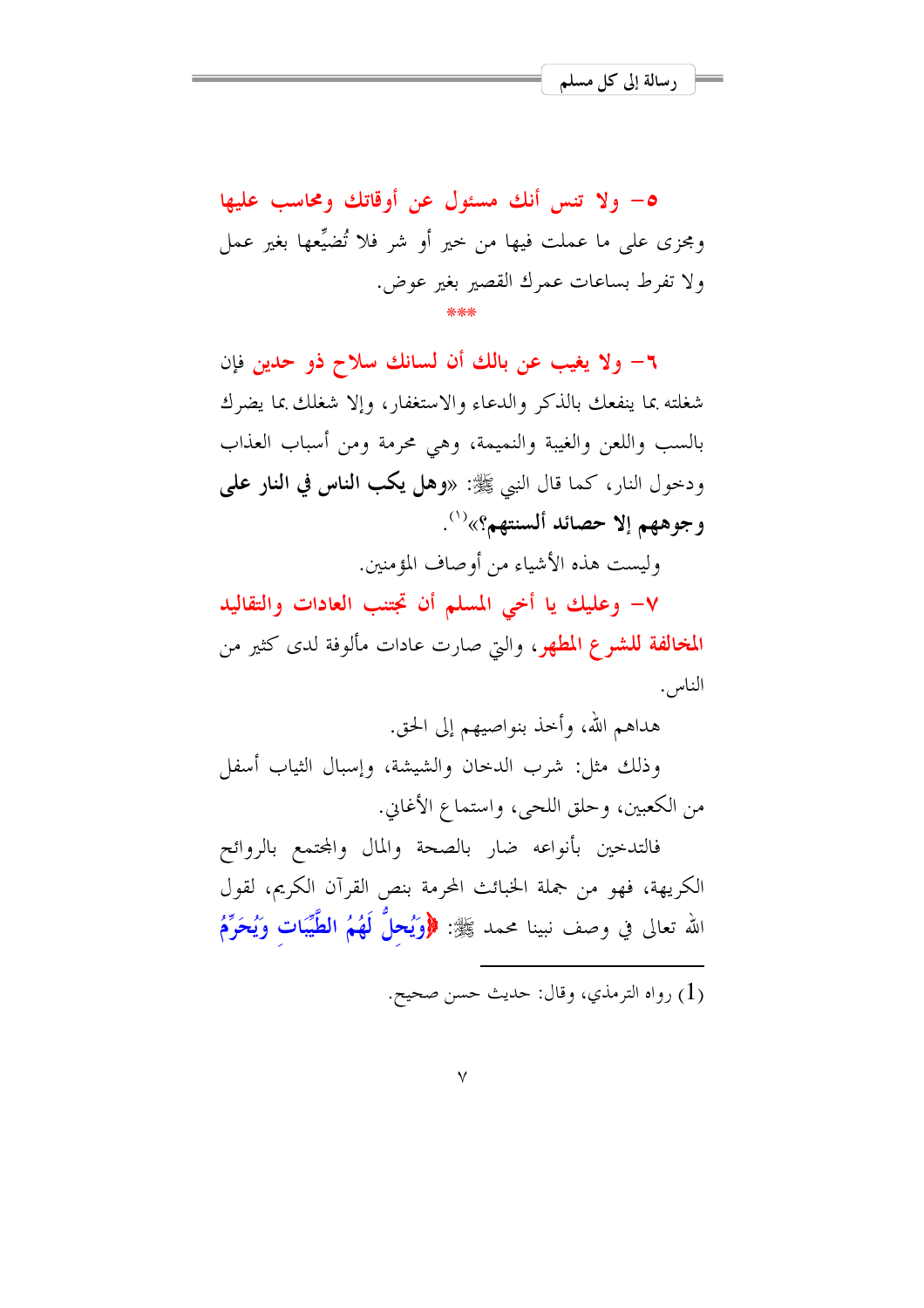٥- ولا تنس أنك مسئول عن أوقاتك ومحاسب عليها ومجزى على ما عملت فيها من خير أو شر فلا تُضيِّعها بغير عمل ولا تفرط بساعات عمرك القصير بغير عوض.

٦- ولا يغيب عن بالك أن لسانك سلاح ذو حدين فإن شغلته بما ينفعك بالذكر والدعاء والاستغفار، وإلا شغلك بما يضرك بالسب واللعن والغيبة والنميمة، وهي محرمة ومن أسباب العذاب ودحول النار، كما قال النبي ﷺ: «وهل يكب الناس في النار على وجوههم إلا حصائد ألسنتهم؟»<sup>(١)</sup>.

وليست هذه الأشياء من أوصاف المؤمنين.

٧- وعليك يا أخي المسلم أن تجتنب العادات والتقاليد المخالفة للشرع المطهر، والتي صارت عادات مألوفة لدى كثير من الناس.

هداهم الله، وأحذ بنواصيهم إلى الحق.

وذلك مثل: شرب الدحان والشيشة، وإسبال الثياب أسفل من الكعبين، وحلق اللحي، واستماع الأغاني.

فالتدحين بأنواعه ضار بالصحة والمال والمحتمع بالروائح الكريهة، فهو من جملة الخبائث المحرمة بنص القرآن الكريم، لقول الله تعالى في وصف نبينا محمد ﷺ: ﴿وَيُحِلُّ لَهُمُ الطَّيِّبَاتِ وَيُحَرِّمُ

(1) , واه الترمذي، وقال: حديث حسن صحيح.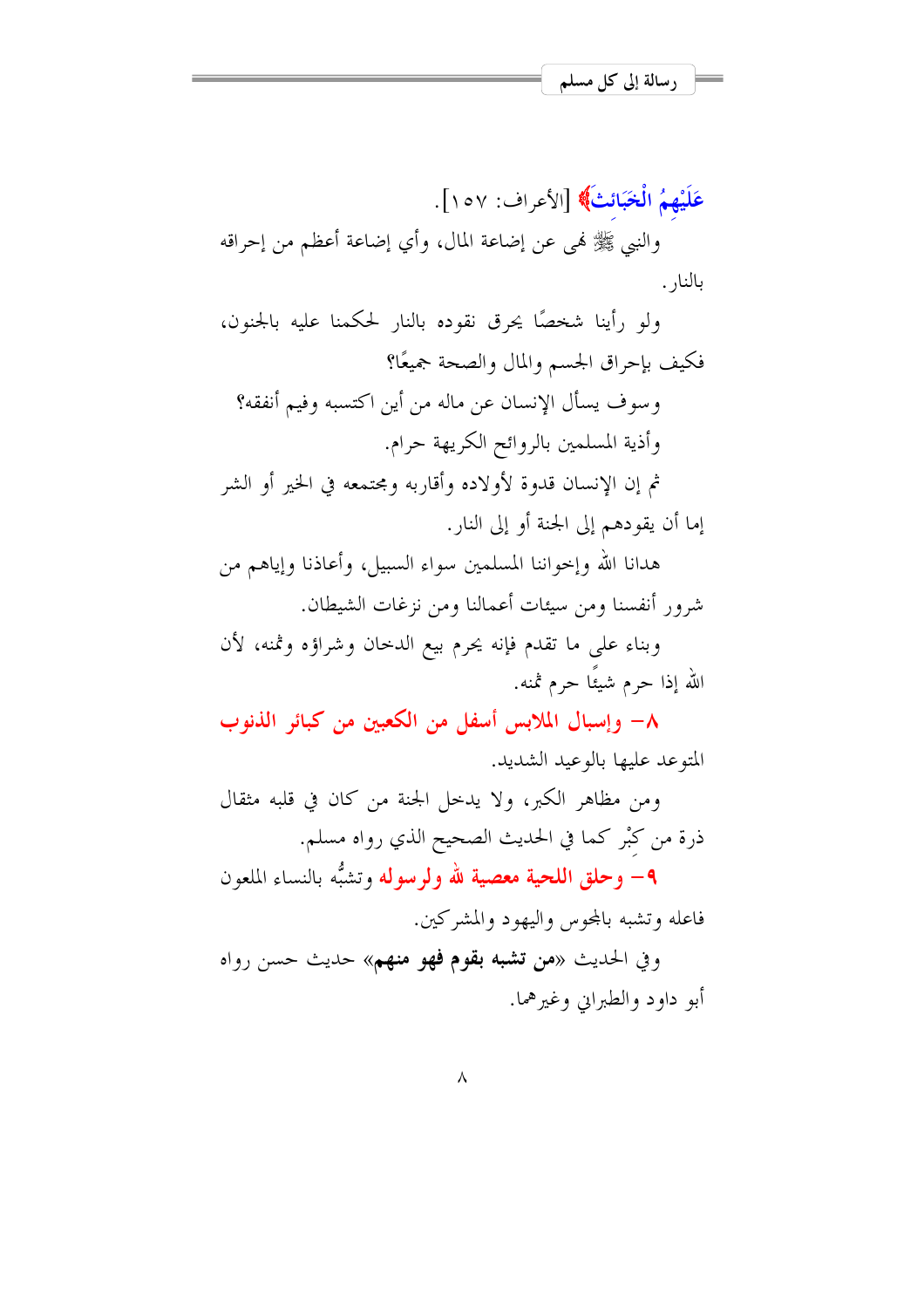عَلَيْهِمُ الْخَبَائِثَ﴾ [الأعراف: ١٥٧].

والنبي ﷺ فمي عن إضاعة المال، وأي إضاعة أعظم من إحراقه بالنا, .

ولو رأينا شخصًا يحرق نقوده بالنار لحكمنا عليه بالجنون، فكيف بإحراق الجسم والمال والصحة جميعًا؟

وسوف يسأل الإنسان عن ماله من أين اكتسبه وفيم أنفقه؟ وأذية المسلمين بالروائح الكريهة حرام. ثم إن الإنسان قدوة لأولاده وأقاربه ومجتمعه في الخير أو الشر

إما أن يقودهم إلى الجنة أو إلى النار .

هدانا الله وإخواننا المسلمين سواء السبيل، وأعاذنا وإياهم من شرور أنفسنا ومن سيئات أعمالنا ومن نزغات الشيطان.

وبناء على ما تقدم فإنه يحرم بيع الدحان وشراؤه وثمنه، لأن الله إذا حرم شيئًا حرم ثمنه.

٨– وإسبال الملابس أسفل من الكعبين من كبائر الذنوب المتوعد عليها بالوعيد الشديد.

ومن مظاهر الكبر، ولا يدخل الجنة من كان في قلبه مثقال ذرة من كبْر كما في الحديث الصحيح الذي رواه مسلم.

**٩**- وحلق ا**للحية معصية لله ولرسوله** وتشبُّه بالنساء الملعون فاعله وتشبه بالمحوس واليهود والمشركين.

وفي الحديث «من **تشبه بقوم فهو منهم**» حديث حسن رواه أبو داو د والطيراني وغير هما .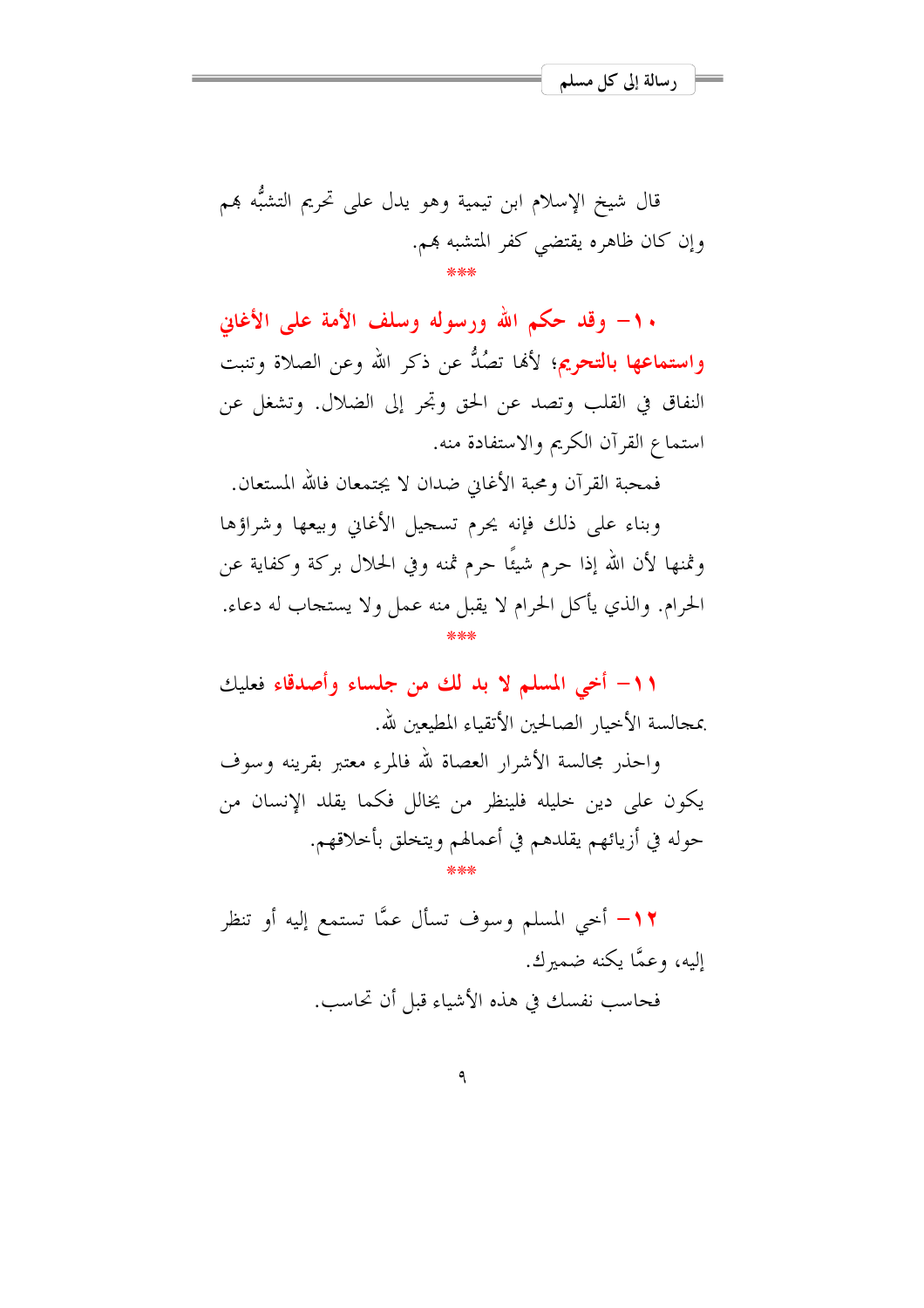قال شيخ الإسلام ابن تيمية وهو يدل على تحريم التشبُّه هم وإن كان ظاهره يقتضي كفر المتشبه هم.

١٠- وقد حكم الله ورسوله وسلف الأمة على الأغابي وا**ستماعها بالتحريم**؛ لألها تصُلُّ عن ذكر الله وعن الصلاة وتنبت النفاق في القلب وتصد عن الحق وتحر إلى الضلال. وتشغل عن استماع القرآن الكريم والاستفادة منه.

فمحبة القرآن ومحبة الأغابي ضدان لا يجتمعان فالله المستعان.

وبناء على ذلك فإنه يجرم تسجيل الأغاني وبيعها وشراؤها وثمنها لأن الله إذا حرم شيئًا حرم ثمنه وفي الحلال بركة وكفاية عن الحرام. والذي يأكل الحرام لا يقبل منه عمل ولا يستجاب له دعاء.

١١- أخى المسلم لا بد لك من جلساء وأصدقاء فعليك بمجالسة الأحبار الصالحين الأتقباء المطبعين لله.

واحذر مجالسة الأشرار العصاة لله فالمرء معتبر بقرينه وسوف يكون على دين حليله فلينظر من يخالل فكما يقلد الإنسان من حوله في أزيائهم يقلدهم في أعمالهم ويتخلق بأخلاقهم.

١٢- أحي المسلم وسوف تسأل عمًّا تستمع إليه أو تنظر إليه، وعمًّا يكنه ضميرك. فحاسب نفسك في هذه الأشياء قبل أن تحاسب.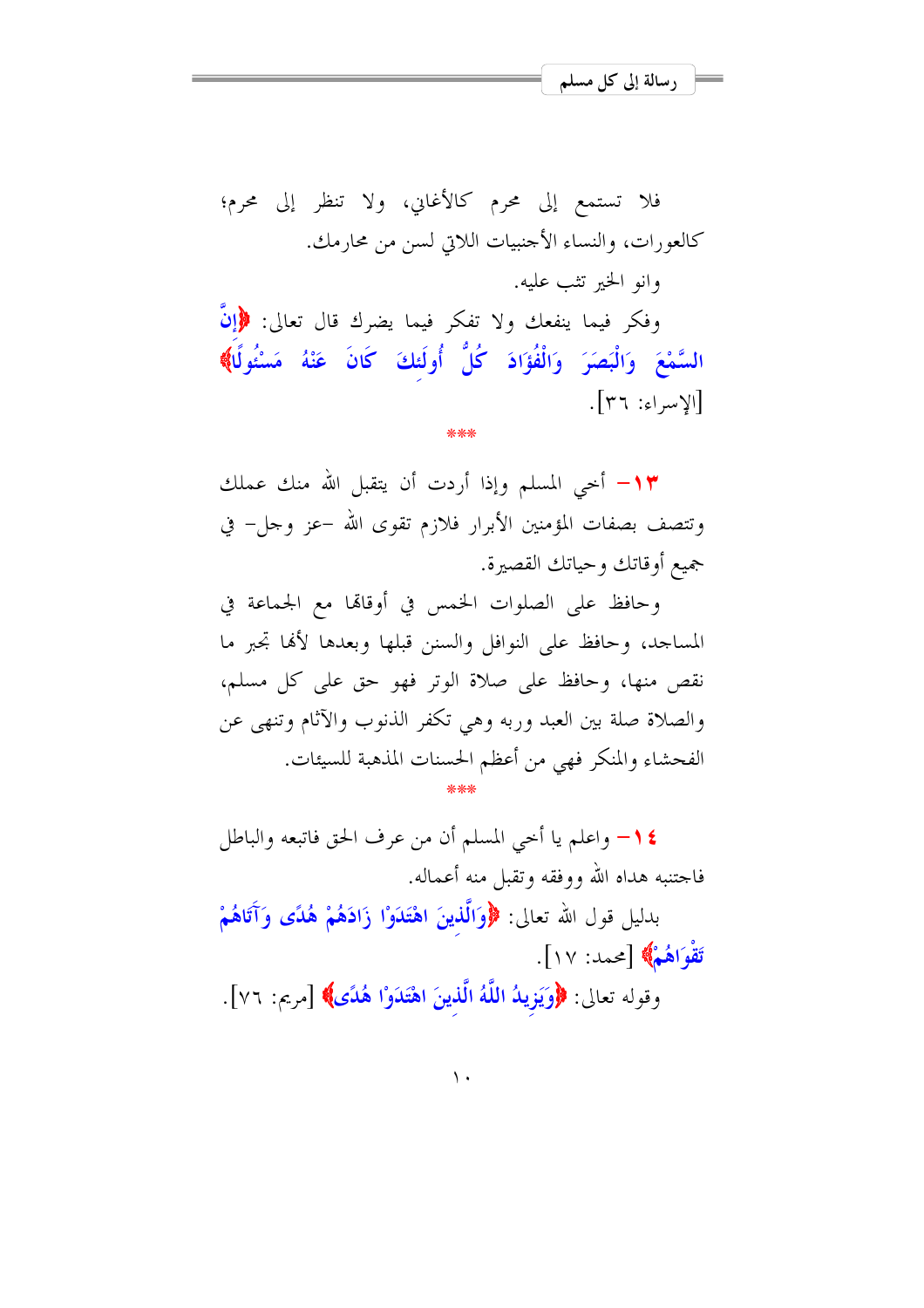$[\gamma$   $\gamma$  :  $\epsilon$   $|\gamma|$ 

فلا تستمع إلى محرم كالأغاني، ولا تنظر إلى محرم؛ كالعورات، والنساء الأحنبيات اللاتي لسن من محارمك. وانو الخير تثب عليه. وفكر فيما ينفعك ولا تفكر فيما يضرك قال تعالى: ﴿إِنَّ السَّمْعَ وَالْبَصَرَ وَالْفُؤَادَ كُلُّ أُولَئكَ كَانَ عَنْهُ مَسْئُولًا﴾

1٣– أحي المسلم وإذا أردت أن يتقبل الله منك عملك وتتصف بصفات المؤمنين الأبرار فلازم تقوى الله –عز وجل– في جميع أوقاتك وحياتك القصيرة.

وحافظ على الصلوات الخمس في أوقالها مع الجماعة في المساحد، وحافظ على النوافل والسنن قبلها وبعدها لألها تجبر ما نقص منها، وحافظ على صلاة الوتر فهو حق على كل مسلم، والصلاة صلة بين العبد وربه وهي تكفر الذنوب والآثام وتنهى عن الفحشاء والمنكر فهي من أعظم الحسنات المذهبة للسيئات.

1 \ واعلم يا أخي المسلم أن من عرف الحق فاتبعه والباطل فاجتنبه هداه الله ووفقه وتقبل منه أعماله. بدليل قول الله تعالى: ﴿وَالَّذِينَ اهْتَدَوْا زَادَهُمْ هُدًى وَآَتَاهُمْ تَقْوَاهُمْ﴾ [محمد: ١٧]. وقوله تعالى: ﴿وَيَزِيدُ اللَّهُ الَّذِينَ اهْتَدَوْا هُدًى﴾ [مريم: ٧٦].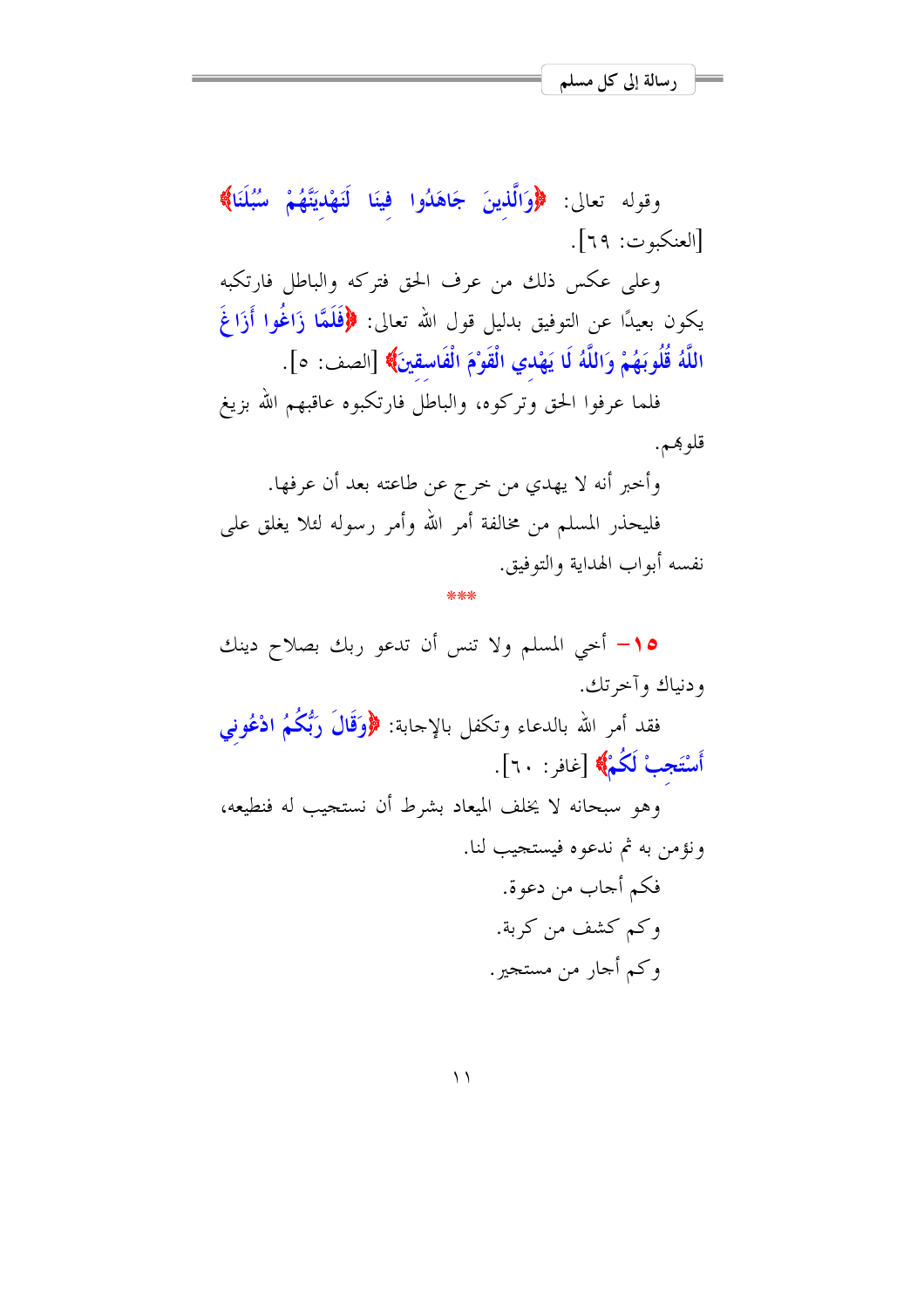وقوله تعالى: ﴿وَالَّذِينَ جَاهَدُوا فِينَا لَنَهْدِيَنَّهُمْ سُبُلَنَا﴾ [العنكبوت: ٦٩].

وعلى عكس ذلك من عرف الحق فتركه والباطل فارتكبه يكون بعيدًا عن التوفيق بدليل قول الله تعالى: ﴿فَلَمَّا زَاغُوا أَزَاغَ اللَّهُ قُلُوبَهُمْ وَاللَّهُ لَا يَهْدي الْقَوْمَ الْفَاسقينَ﴾ [الصف: ٥].

فلما عرفوا الحق وتركوه، والباطل فارتكبوه عاقبهم الله بزيغ قلوبهم.

وأخبر أنه لا يهدي من خرج عن طاعته بعد أن عرفها. فليحذر المسلم من مخالفة أمر الله وأمر رسوله لئلا يغلق على نفسه أبواب الهداية والتوفيق.

لمعلمعلم

10- أحى المسلم ولا تنس أن تدعو ربك بصلاح دينك ودنياك وآخرتك.

فقد أمر الله بالدعاء وتكفل بالإحابة: ﴿وَقَالَ رَبُّكُمُ ادْعُونِي أَسْتَجِبْ لَكُمْ﴾ [غافر: ٢٠].

وهو سبحانه لا يخلف الميعاد بشرط أن نستجيب له فنطيعه، ونؤمن به ثم ندعوه فيستجيب لنا.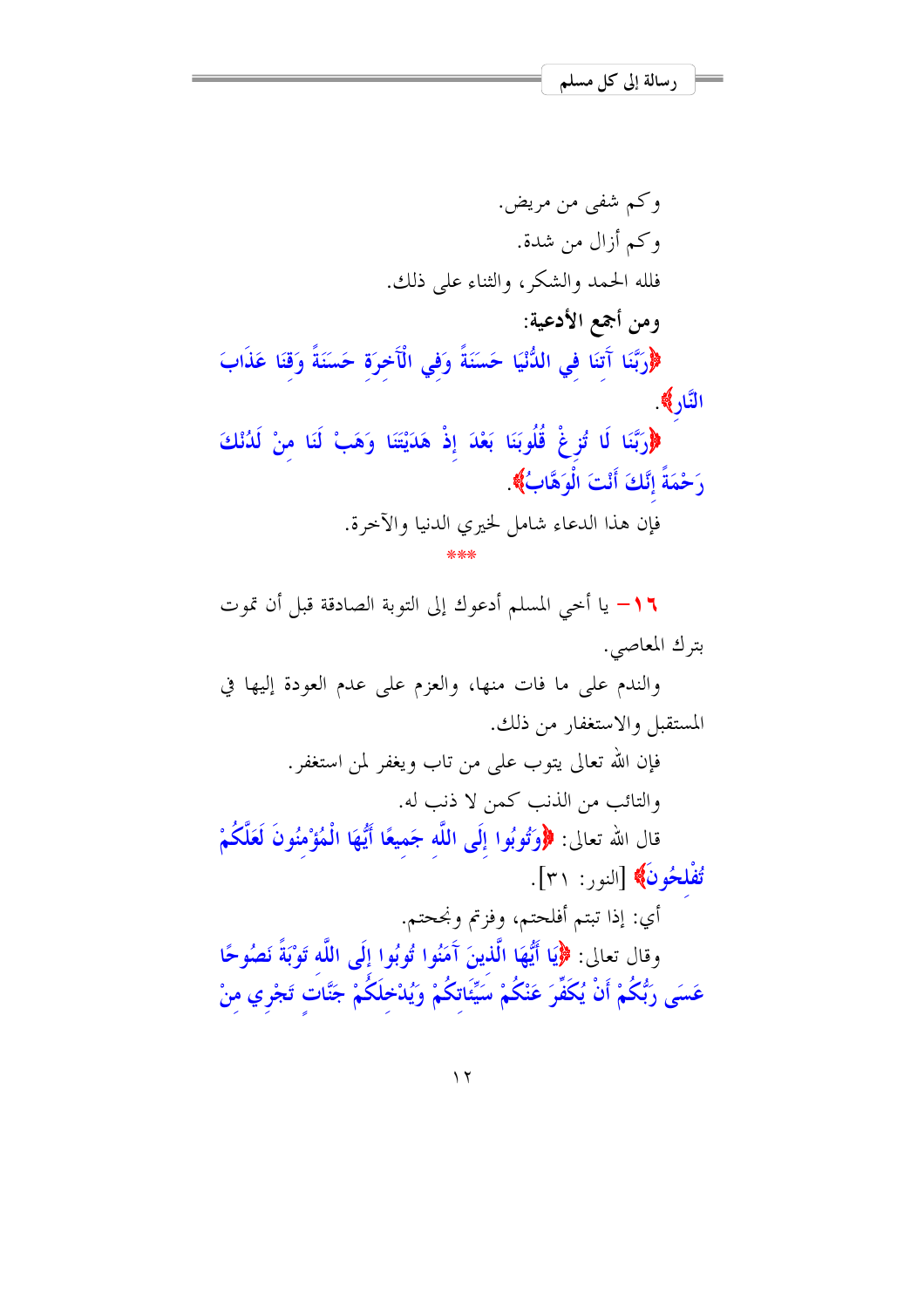و کم شفي من مريض. وكم أزال من شدة. فلله الحمد والشكر، والثناء على ذلك. ومن أجمع الأدعية: ﴿وَرَّبَّنَا آَتِنَا فِي اللُّنْيَا حَسَنَةً وَفِي الْآخِرَة حَسَنَةً وَقَنَا عَذَابَ النَّارِ﴾ ﴿رَبَّنَا لَا تُزِغْ قُلُوبَنَا بَعْدَ إِذْ هَدَيْتَنَا وَهَبْ لَنَا منْ لَدُنْكَ رَحْمَةً إِنَّكَ أَنْتَ الْوَهَّابُ﴾ فإن هذا الدعاء شامل لخيري الدنيا والآخرة.

1 \ – يا أخى المسلم أدعوك إلى التوبة الصادقة قبل أن تموت بترك المعاصى.

والندم على ما فات منها، والعزم على عدم العودة إليها في المستقبل والاستغفار من ذلك.

> فإن الله تعالى يتوب على من تاب ويغفر لمن استغفر. والتائب من الذنب كمن لا ذنب له.

قال الله تعالى: ﴿وَتُوبُوا إِلَى اللَّه جَميعًا أَيُّهَا الْمُؤْمِنُونَ لَعَلَّكُمْ تُفْلِحُونَ﴾ [النور: ٣١].

أي: إذا تبتم أفلحتم، وفزتم ونجحتم. وقال تعالى: ﴿إِيَا أَيُّهَا الَّذِينَ آَمَنُوا تُوبُوا إِلَى اللَّه تَوْبَةً نَصُوحًا عَسَى رَبُّكُمْ أَنْ يُكَفِّرَ عَنْكُمْ سَيِّئَاتكُمْ وَيُدْخلَكُمْ جَنَّاتٍ تَجْرِي مِنْ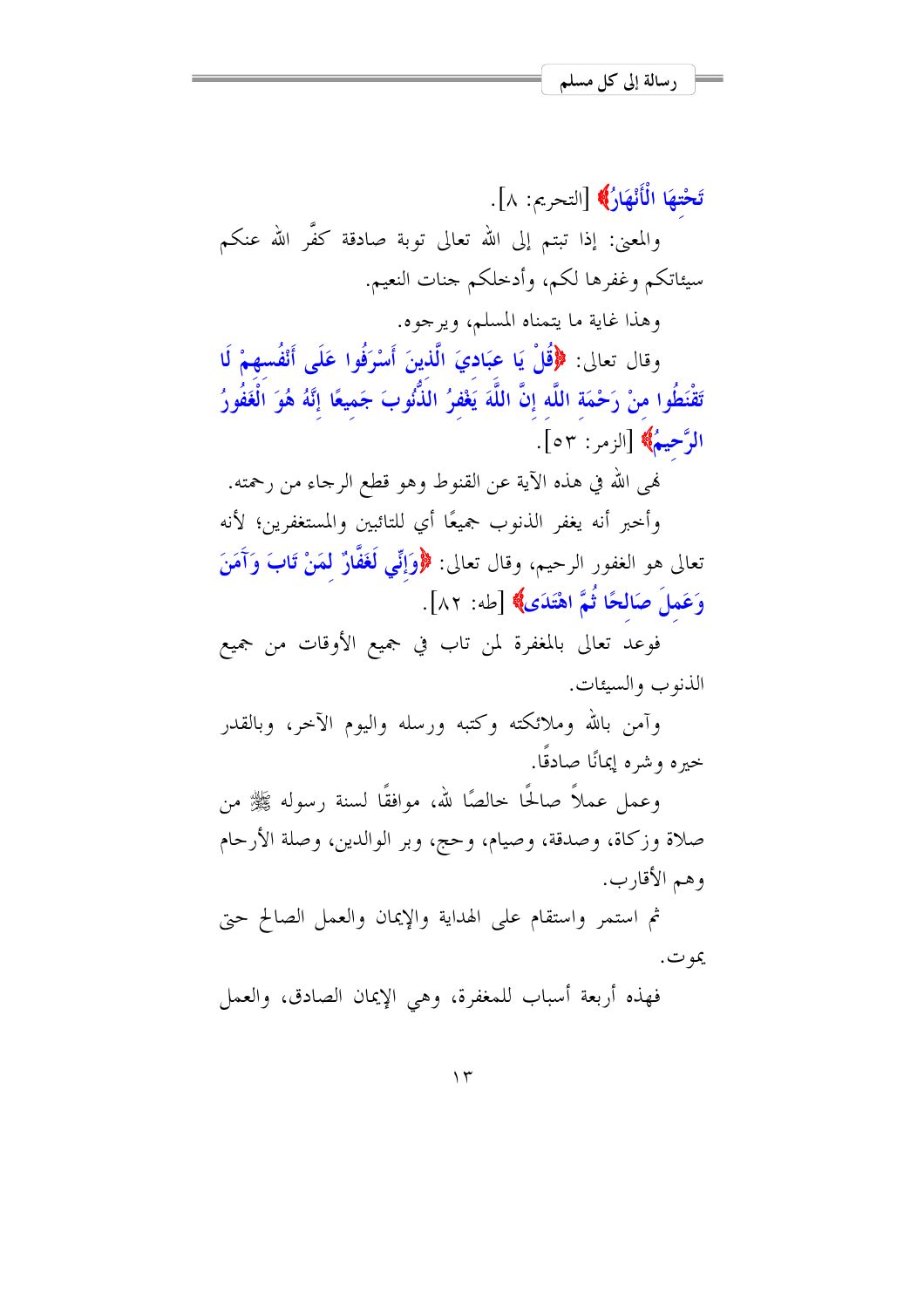تَحْتهَا الْأَنْهَارُ﴾ [التحريم: ٨]. والمعنى: إذا تبتم إلى الله تعالى توبة صادقة كفَّر الله عنكم سيئاتكم وغفرها لكم، وأدخلكم جنات النعيم.

وهذا غاية ما يتمناه المسلم، ويرجوه.

وقال تعالى: ﴿قُلْ يَا عِبَادِيَ الَّذِينَ أَسْرَفُوا عَلَى أَنْفُسِهِمْ لَا تَقْنَطُوا منْ رَحْمَة اللَّه إنَّ اللَّهَ يَغْفِرُ الذُّنُوبَ جَميعًا إنَّهُ هُوَ الْغَفُورُ الرَّحِيمُ﴾ [الزمر: ٥٣].

لهي الله في هذه الآية عن القنوط وهو قطع الرجاء من رحمته.

وأحبر أنه يغفر الذنوب جميعًا أي للتائبين والمستغفرين؛ لأنه تعالى هو الغفور الرحيم، وقال تعالى: ﴿وَإِنِّي لَغَفَّارٌ لَمَنْ تَابَ وَآَمَنَ وَعَمِلَ صَالِحًا ثُمَّ اهْتَدَى﴾ [طه: ٨٢].

فوعد تعالى بالمغفرة لمن تاب في جميع الأوقات من جميع الذنوب والسيئات.

وآمن بالله وملائكته وكتبه ورسله واليوم الآحر، وبالقدر خيره وشره إيمانًا صادقًا.

وعمل عملاً صالحًا حالصًا لله، موافقًا لسنة رسوله ﷺ من صلاة وزكاة، وصدقة، وصيام، وحج، وبر الوالدين، وصلة الأرحام وهم الأقارب.

ثم استمر واستقام على الهداية والإيمان والعمل الصالح حتى يمو ت.

فهذه أربعة أسباب للمغفرة، وهي الإيمان الصادق، والعمل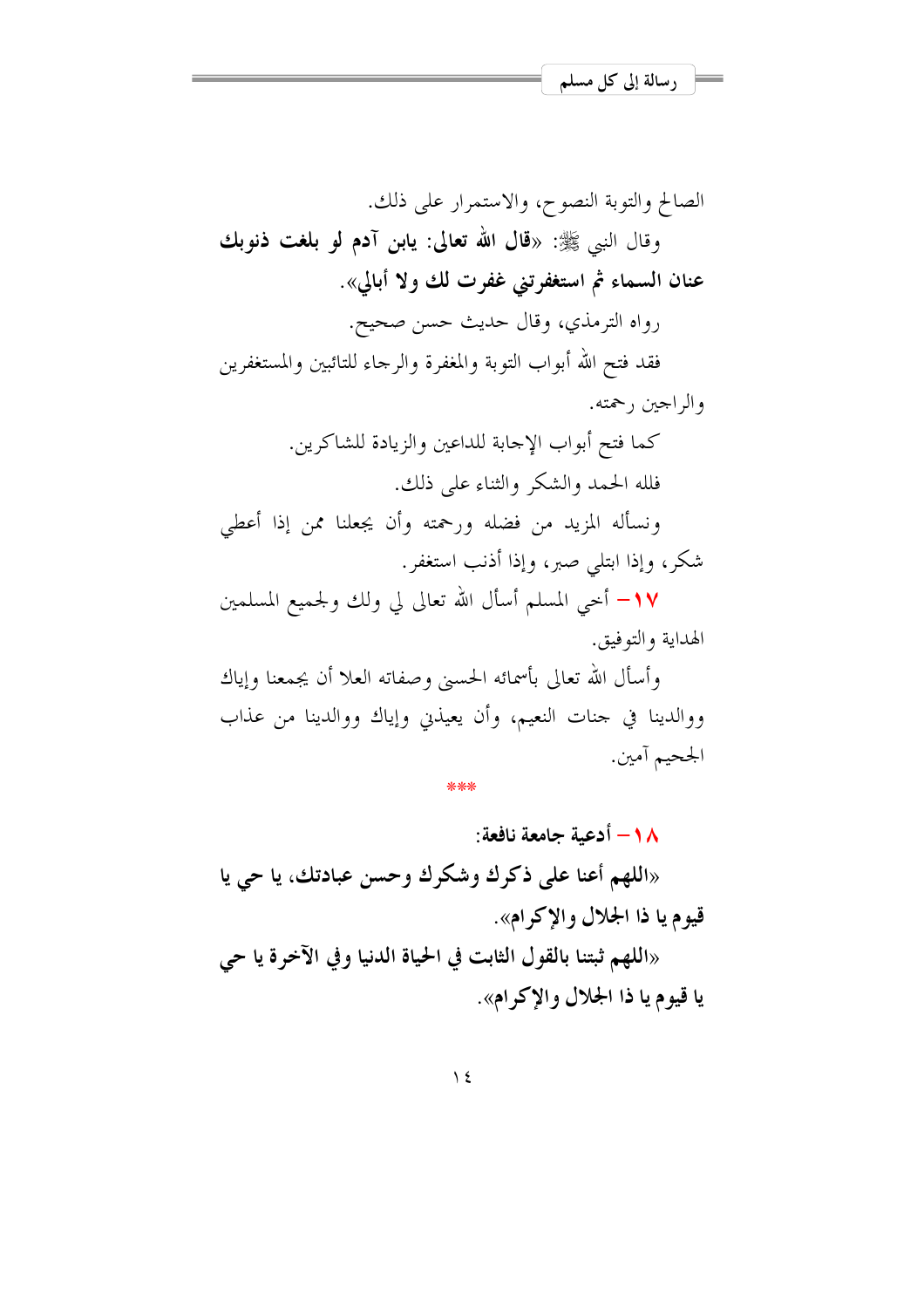الصالح والتوبة النصوح، والاستمرار على ذلك. وقال النبي ﷺ: «قال الله تعالى: يابن آدم لو بلغت ذنوبك عنان السماء ثم استغفرتني غفرت لك ولا أبالي». رواه الترمذي، وقال حديث حسن صحيح. فقد فتح الله أبواب التوبة والمغفرة والرحاء للتائبين والمستغفرين والراجين , حمته. كما فتح أبواب الإحابة للداعين والزيادة للشاكرين. فلله الحمد والشكر والثناء على ذلك. ونسأله المزيد من فضله ورحمته وأن يجعلنا ممن إذا أعطى شكر، وإذا ابتلى صبر، وإذا أذنب استغفر. ١٧– أخي المسلم أسأل الله تعالى لي ولك ولحميع المسلمين الهدابة والتوفيق. وأسأل الله تعالى بأسمائه الحسين وصفاته العلا أن يجمعنا وإياك ووالدينا في حنات النعيم، وأن يعيذني وإياك ووالدينا من عذاب

1 \ - أدعية جامعة نافعة: «اللهم أعنا على ذكرك وشكرك وحسن عبادتك، يا حي يا

الجحيم آمين.

قيوم يا ذا الجلال والإكرام».

«اللهم ثبتنا بالقول الثابت في الحياة الدنيا وفي الآخرة يا حي يا قيوم يا ذا الجلال والإكرام».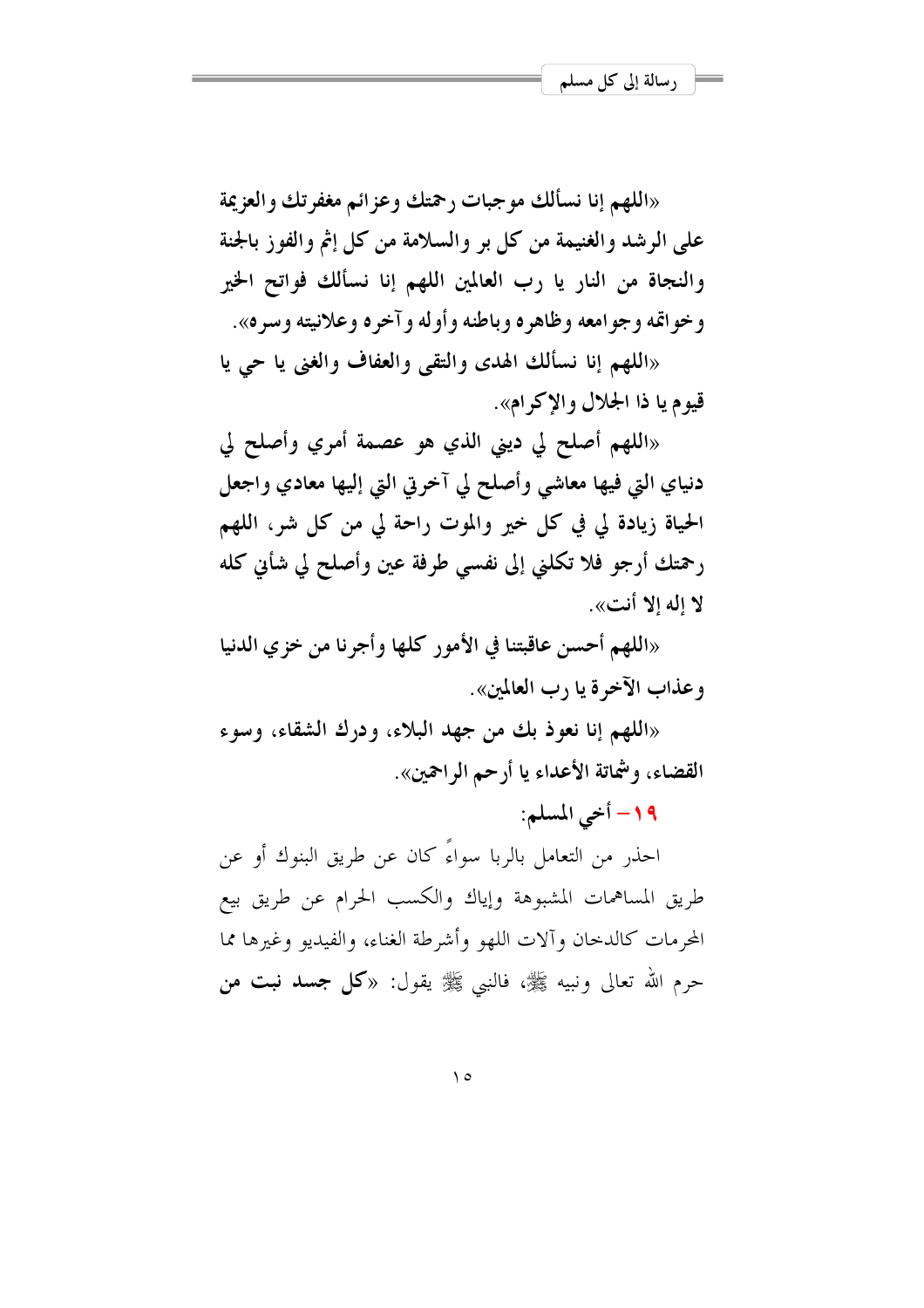«اللهم إنا نسألك موجبات <sub>ل</sub>حمتك وعزائم مغفرتك والعزيمة على الرشد والغنيمة من كل بر والسلامة من كل إثم والفوز بالجنة والنجاة من النار يا رب العالمين اللهم إنا نسألك فواتح الخير وخواتمه وجوامعه وظاهره وباطنه وأوله وآخره وعلانيته وسره».

«اللهم إنا نسألك الهدى والتقى والعفاف والغني يا حي يا قيوم يا ذا الجلال والإكرام».

«اللهم أصلح لي ديني الذي هو عصمة أمري وأصلح لي دنیای التی فیها معاشی وأصلح لی آخرتی التی إلیها معادی واجعل الحياة زيادة لي في كل خير والموت راحة لي من كل شر، اللهم رحمتك أرجو فلا تكلني إلى نفسي طرفة عين وأصلح لي شأين كله لا إله إلا أنت».

«اللهم أحسن عاقبتنا في الأمور كلها وأجرنا من خزي الدنيا وعذاب الآخرة يا د ب العالمين».

«اللهم إنا نعوذ بك من جهد البلاء، ودرك الشقاء، وسوء القضاء، وشماتة الأعداء يا أرحم الراحمين».

١٩- أحي المسلم:

احذر من التعامل بالربا سواءً كان عن طريق البنوك أو عن طريق المساهمات المشبوهة وإياك والكسب الحرام عن طريق بيع المحرمات كالدخان وآلات اللهو وأشرطة الغناء، والفيديو وغيرها مما حرم الله تعالى ونبيه ﷺ، فالنبي ﷺ يقول: «**كل جسد نبت من**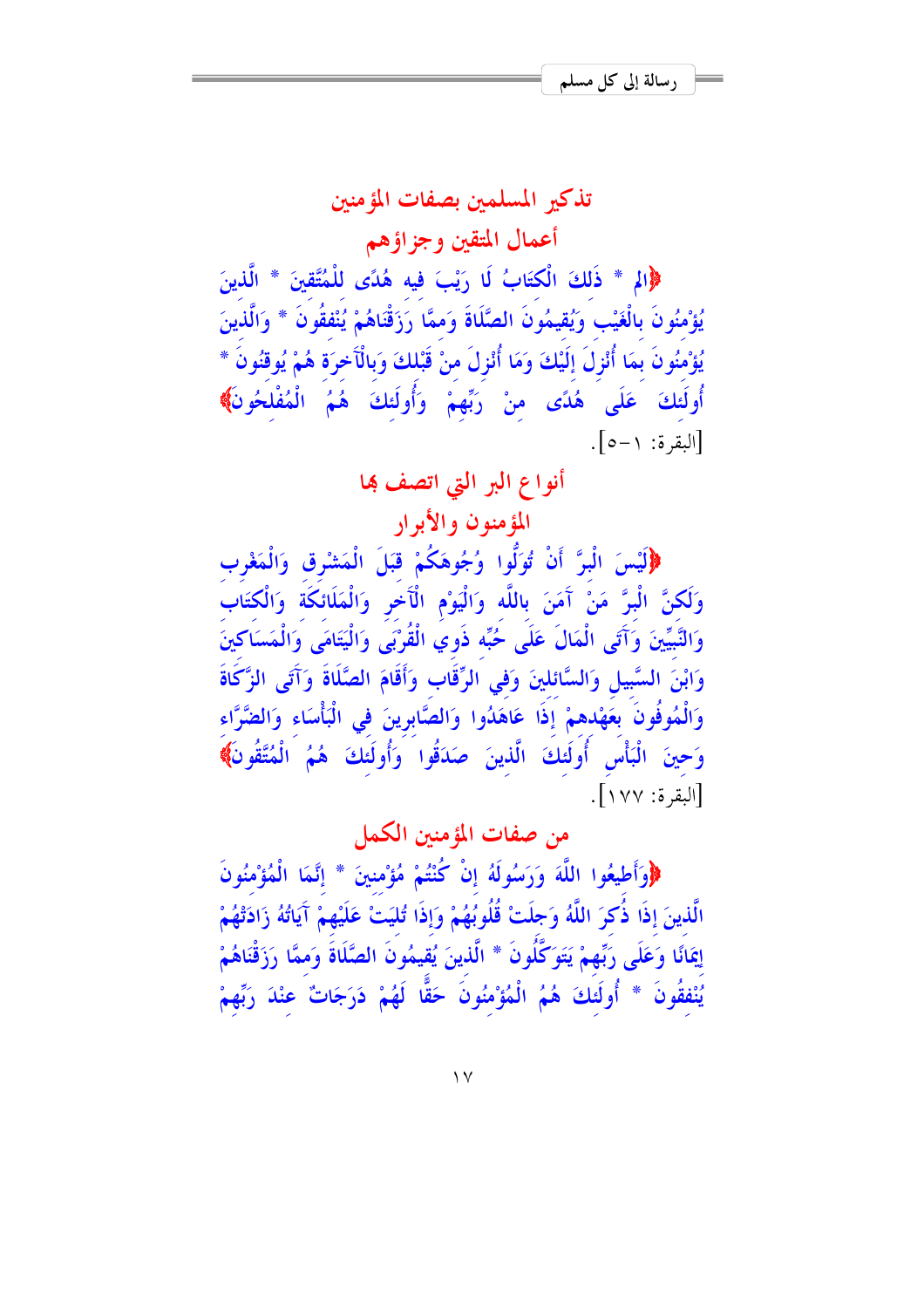# تذكير المسلمين بصفات المؤمنين أعمال المتقين وجزاؤهم

((الم \* ذَلكَ الْكتَابُ لَا رَيْبَ فِيه هُدًى لِلْمُتَّقِينَ \* الَّذِينَ يُؤْمِنُون بِالْغَيْبِ وَيُقِيمُون الصَّلاة وَمَمَّا رَزَقْنَاهُمْ يُنْفَقُون \* وَالَّذِينَ يُؤْمِنُونَ بِمَا أَنْزِلَ إِلَيْكَ وَمَا أَنْزِلَ مِنْ قَبْلُكَ وَبِالْآخِرَةِ هُمْ يُوقِنُونَ \* أُولَئكَ عَلَى هُدًى منْ رَبِّهِمْ وَأُولَئكَ هُمُ الْمُفْلحُونَ﴾ [البقرة: ١–٥].

## أنواع البر التي اتصف هٖا

# المؤمنون والأبرار

﴿لَيْسَ الْبِرَّ أَنْ تُوَلُّوا وُجُوهَكُمْ قبَلَ الْمَشْرق وَالْمَغْرب وَلَكُنَّ البرَّ مَنْ آمَنَ بالله وَاليَوْمِ الْآخر وَالْمَلائكَة وَالْكْتَابِ وَالنَّبِيِّينَ وَآتَى الْمَالُ عَلَى حُبِّه ذُوي القَرْبَى وَالْيَتَامَى وَالْمَسَاكِينَ وَابْنَ السَّبِيلِ وَالسَّائِلِينَ وَفِي الرَّقَابِ وَأَقَامَ الصَّلَاة وَآتَى الزَّكَاة وَالْمُوفُونَ بِعَهْدهُمْ إِذَا عَاهَدُوا وَالْصَّابِرِينَ في الْبَأْسَاء وَالْضَّرَّاء وَحِينَ الْبَأْسِ أُولَئكَ الَّذينَ صَدَقُوا وَأُولَئكَ هُمُ الْمُتَّقُونَ﴾ [البقرة: ١٧٧].

# من صفات المؤمنين الكمل

﴿وَأَطِيعُوا اللَّهَ وَرَسُولَهُ إِنْ كُنْتُمْ مُؤْمِنينَ \* إِنَّمَا الْمُؤْمِنُونَ الذينَ إذا ذكرَ اللَّهُ وَجلتْ قُلُوبُهُمْ وَإِذا تُلَيَتْ عَلَيْهِمْ آيَاتُهُ زَادَتْهُمْ اِيمَانًا وَعَلَى رَبِّهِمْ يَتَوَكَّلُونَ \* الَّذِينَ يُقِيمُونَ الصَّلَّاةَ وَمَمَّا رَزَقْنَاهُمْ يُنْفَقُونَ \* أُولَئِكَ هُمُ الْمُؤْمِنُونَ حَقًّا لَهُمْ دَرَجَاتٌ عِنْدَ رَبِّهِمْ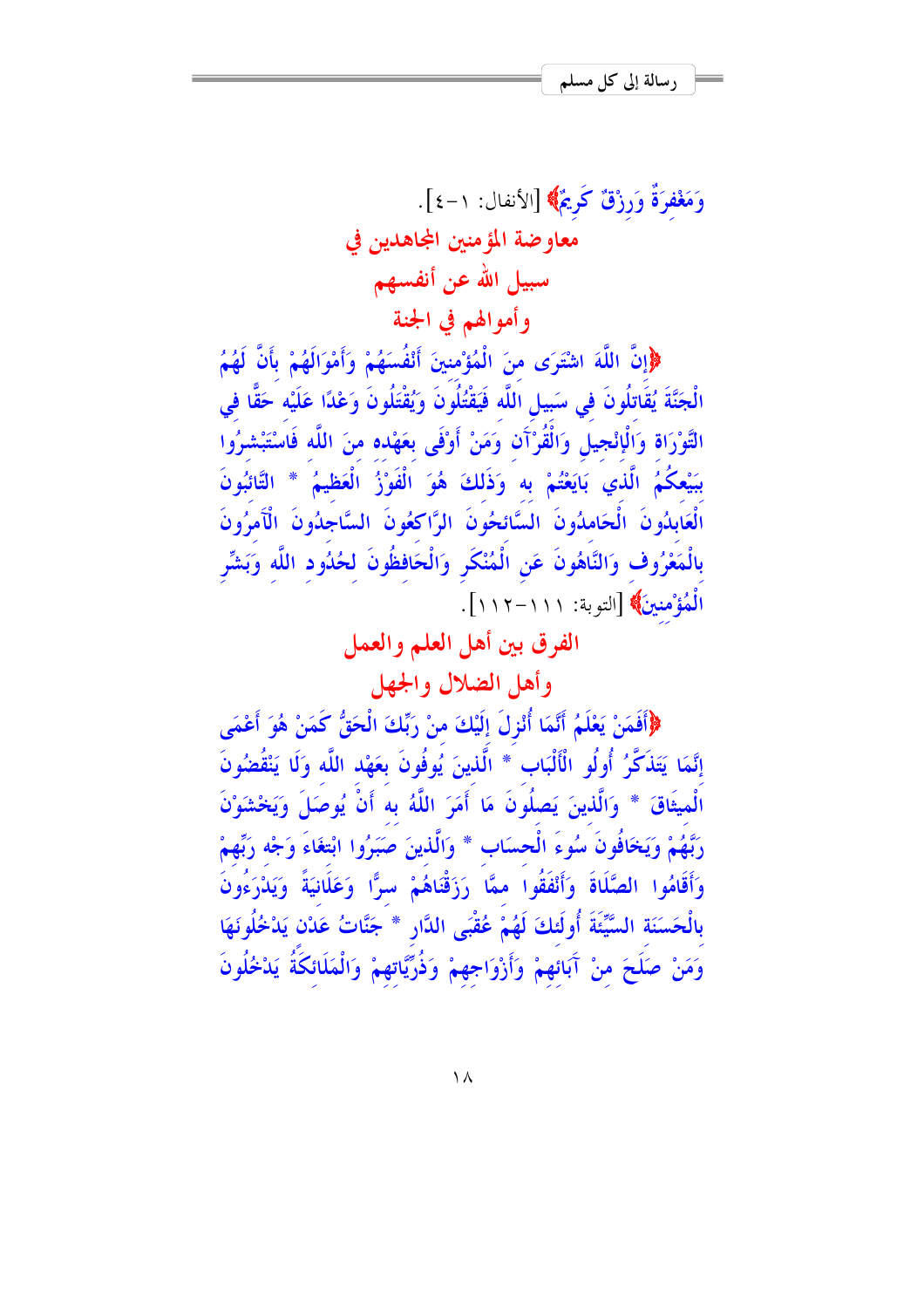وَمَغْفَرَةٌ وَرِزْقٌ كَوِيْمٌ﴾ [الأنفال: ١-٤]. معاوضة المؤمنين المحاهدين في سبيل الله عن أنفسهم وأموالهم في الجنة

﴿إِنَّ اللَّهَ اشْتَرَى مِنَ الْمُؤْمِنِينَ أَنْفُسَهُمْ وَأَمْوَالَهُمْ بِأَنَّ لَهُمُ الْجَنَّةَ يُقَاتِلُونَ في سَبِيلِ اللَّه فَيَقْتُلُونَ وَيُقْتَلُونَ وَعْدًا عَلَيْه حَقًّا في التَّوْرَاة وَالْإِنْجِيلِ وَالْقُرْآَنِ وَمَنْ أَوْفَى بِعَهْده منَ اللَّه فَاسْتَبْشِرُوا بِبَيْعِكُمُ الَّذِي بَايَعْتُمْ بِهِ وَذَلِكَ هُوَ الْفَوْزُ الْعَظِيمُ \* التَّائِبُونَ الْعَابِدُونَ ۚ الْحَامِدُونَ ۚ السَّائِحُونَ ۚ الرَّاكِعُونَ ۚ السَّاجِدُونَ ۚ الْآَمِرُونَ بِالْمَعْرُوفِ وَالنَّاهُونَ عَنِ الْمُنْكَرِ وَالْحَافظُونَ لِحُدُودِ اللَّهِ وَبَشِّرِ الْمُؤْمِنِينَ﴾ [التوبة: ١١١-١١٢].

الفرق بين أهل العلم والعمل

وأهل الضلال والجهل

﴿أَفَمَنْ يَعْلَمُ أَنَّمَا أُنْزِلَ إِلَيْكَ منْ رَبِّكَ الْحَقُّ كَمَنْ هُوَ أَعْمَى إِنَّمَا يَتَذَكَّرُ ۚ أُولُو الْأَلْبَابِ ۚ ۚ الَّذِينَ يُوفُونَ بِعَهْدِ اللَّهِ وَلَا يَنْقُضُونَ الْمِيثَاقَ \* وَالَّذِينَ يَصِلُونَ مَا أَمَرَ اللَّهُ بِهِ أَنْ يُوصَلَ وَيَخْشَوْنَ رَبَّهُمْ وَيَخَافُونَ سُوءَ الْحسَابِ \* وَالَّذِينَ صَبَرُوا ابْتِغَاءَ وَجْه رَبِّهِمْ وَأَقَامُوا الصَّلَاةَ وَأَنْفَقُوا ممَّا رَزَقْنَاهُمْ سرًّا وَعَلَانِيَةً وَيَدْرَءُونَ بِالْحَسَنَةِ السَّيِّئَةَ أُولَئِكَ لَهُمْ عُقْبَى الدَّارِ \* جَنَّاتُ عَدْنٍ يَدْخُلُونَهَا وَمَنْ صَلَحَ مِنْ آَبَائِهِمْ وَأَزْوَاجِهِمْ وَذُرِّيَّاتِهِمْ وَالْمَلَائِكَةُ يَدْخُلُونَ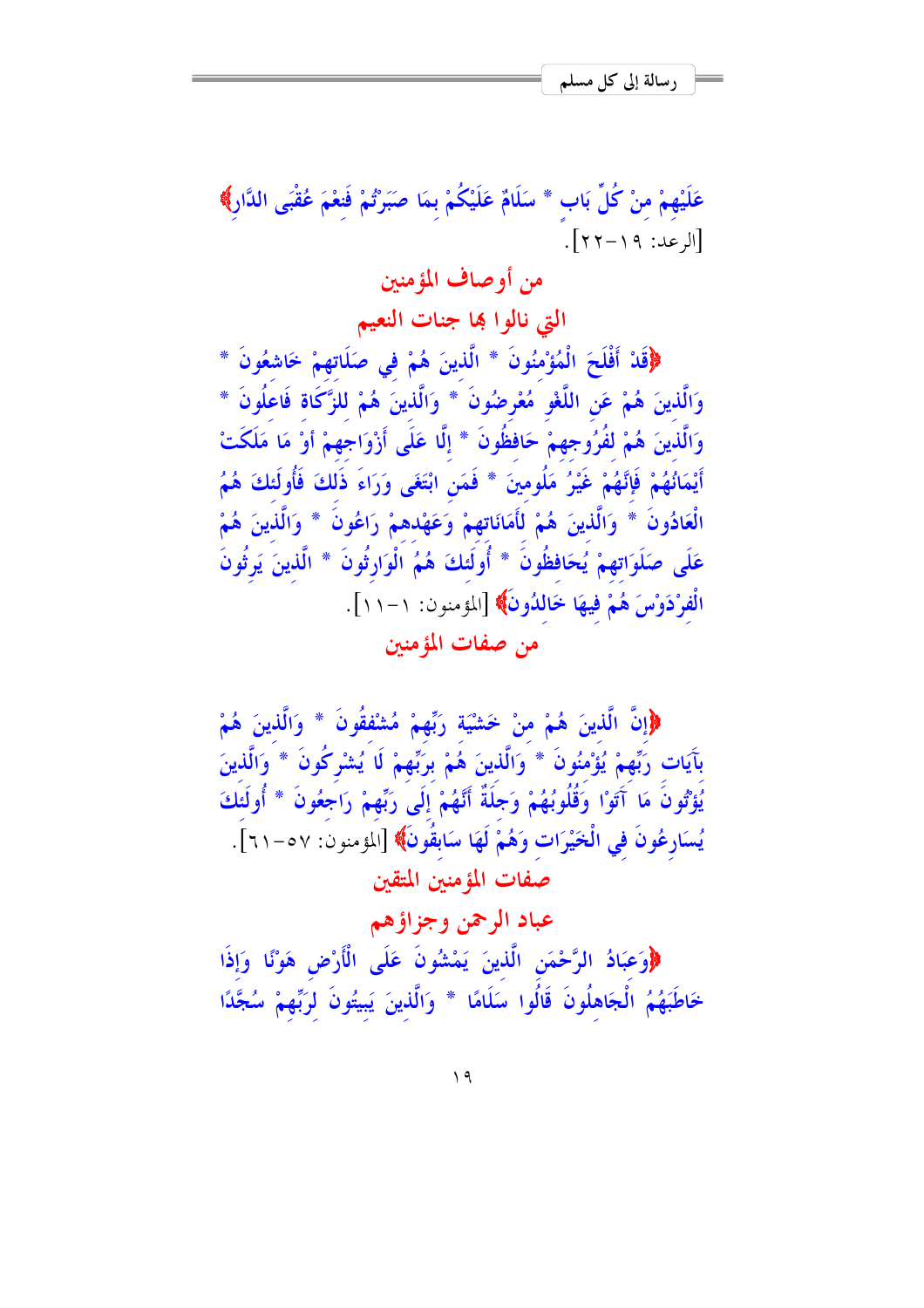عَلَيْهِمْ منْ كُلِّ بَابٍ \* سَلَامٌ عَلَيْكُمْ بِمَا صَبَرْتُمْ فَنغْمَ عُقْبَى الدَّارِ﴾ [الرعد: ١٩-٢٢]. من أو صاف المؤمنين التي نالوا بها جنات النعيم ﴿قَلْ أَفْلَحَ الْمُؤْمِنُونَ \* الَّذِينَ هُمْ فِي صَلَاتِهِمْ خَاشِعُونَ \* وَالَّذِينَ هُمْ عَنِ اللَّغْوِ مُعْرِضُونَ \* وَالَّذِينَ هُمْ لِلزَّكَاةِ فَاعْلُونَ \* وَالَّذِينَ هُمْ لَفُرُوجِهِمْ حَافِظُونَ \* إِلَّا عَلَى أَزْوَاجِهِمْ أَوْ مَا مَلَكَتْ أَيْمَانُهُمْ فَإِنَّهُمْ غَيْرُ مَلُومِينَ \* فَمَنِ ابْتَغَى وَرَاءَ ذَلكَ فَأُولَئكَ هُمُ الْعَادُونَ \* وَالَّذينَ هُمْ لَأَمَانَاتِهِمْ وَعَهْدهمْ رَاعُونَ \* وَالَّذينَ هُمْ عَلَى صَلَوَاتهمْ يُحَافظُونَ \* أُولَئكَ هُمُ الْوَارِثُونَ \* الَّذينَ يَرِثُونَ الْفرْدَوْسَ هُمْ فِيهَا خَاللُونَ﴾ [المؤمنون: ١-١١]. من صفات المؤمنين

﴿إِنَّ الَّذِينَ هُمْ منْ خَشْيَةٍ رَبِّهِمْ مُشْفَقُونَ \* وَالَّذِينَ هُمْ بِآيَات رَبِّهِمْ يُؤْمِنُونَ \* وَالَّذِينَ هُمْ بِرَبِّهِمْ لَا يُشْرِكُونَ \* وَالَّذِينَ يُؤْتُونَ مَا آَتَوْا وَقُلُوبُهُمْ وَجَلَةٌ أَنَّهُمْ إِلَى رَبِّهِمْ رَاجَعُونَ \* أُولَئَكَ يُسَارِعُونَ في الْخَيْرَات وَهُمْ لَهَا سَابِقُونَ﴾ [المؤمنون: ٥٧-٢١]. صفات المؤمنين المتقين

# عباد الرحمن وجزاؤهم

﴿وَعِبَادُ الرَّحْمَنِ الَّذِينَ يَمْشُونَ عَلَى الْأَرْضِ هَوْنًا وَإِذَا خَاطَبَهُمُ الْجَاهِلُونَ قَالُوا سَلَامًا \* وَالَّذِينَ يَبِيتُونَ لرَبِّهِمْ سُجَّدًا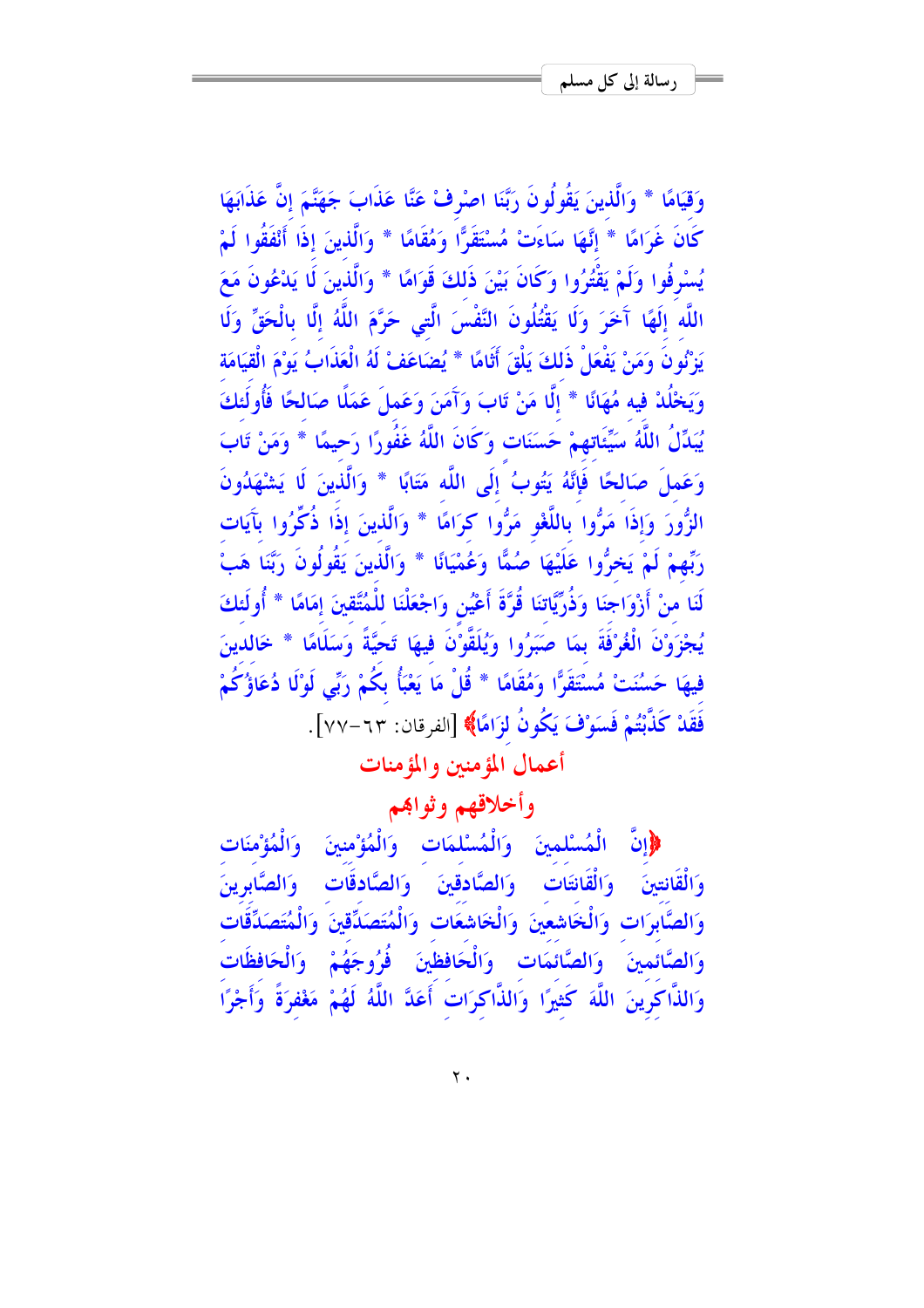وَقِيَامًا \* وَالَّذِينَ يَقُولُونَ رَبَّنَا اصْرِفْ عَنَّا عَذَابَ جَهَنَّمَ إِنَّ عَذَابَهَا كَانَ غَرَامًا \* إِنَّهَا سَاءَتْ مُسْتَقَرًّا وَمُقَامًا \* وَالَّذِينَ إِذَا أَنْفَقُوا لَمْ يُسْرِفُوا وَلَمْ يَقْتُرُوا وَكَانَ بَيْنَ ذَلكَ قَوَامًا \* وَالَّذِينَ لَا يَدْعُونَ مَعَ اللَّه إِلَهًا آَخَرَ وَلَا يَقْتُلُونَ النَّفْسَ الَّتِي حَرَّمَ اللَّهُ إِلَّا بِالْحَقِّ وَلَا يَزْنُونَ وَمَنْ يَفْعَلْ ذَلكَ يَلْقَ أَثَامًا \* يُضَاعَفْ لَهُ الْعَذَابُ يَوْمَ الْقِيَامَة وَيَخْلُدْ فِيه مُهَانًا \* إِلَّا مَنْ تَابَ وَآَمَنَ وَعَملَ عَمَلًا صَالحًا فَأُولَئكَ يُبَدِّلُ اللَّهُ سَيِّئَاتِهِمْ حَسَنَات وَكَانَ اللَّهُ غَفُورًا رَحِيمًا \* وَمَنْ تَابَ وَعَملَ صَالحًا فَإِنَّهُ يَتُوبُ ۚ إِلَى اللَّه مَتَابًا \* وَالَّذِينَ لَا يَشْهَدُونَ الزُّورَ وَإِذَا مَرُّوا بِاللَّغْوِ مَرُّوا كرَامًا \* وَالَّذِينَ إِذَا ذُكِّرُوا بِآَيَات رَبِّهِمْ لَمْ يَحْرُّوا عَلَيْهَا صُمًّا وَعُمْيَانًا \* وَالَّذِينَ يَقُولُونَ رَبَّنَا هَبْ لَنَا منْ أَرْوَاجِنَا وَذُرِّيَّاتِنَا قُرَّةَ أَعْيُنِ وَاجْعَلْنَا لِلْمُتَّقِينَ إِمَامًا \* أُولَئكَ يُجْزَوْنَ الْغُرْفَةَ بِمَا صَبَرُوا وَيُلَقَّوْنَ فِيهَا تَحِيَّةً وَسَلَامًا \* خَالدينَ فيهَا حَسُنَتْ مُسْتَقَرًّا وَمُقَامًا \* قُلْ مَا يَعْبَأُ بِكُمْ رَبِّي لَوْلَا دُعَاؤُكُمْ فَقَلْ كَذَّبْتُمْ فَسَوْفَ يَكُونُ لزَامًا﴾ [الفرقان: ٦٣–٧٧].

أعمال المؤمنين والمؤمنات

# وأخلاقهم وثواهم

﴿إِنَّ الْمُسْلَمِينَ وَالْمُسْلَمَاتِ وَالْمُؤْمِنِينَ وَالْمُؤْمِنَاتِ وَالْقَانِتِينَ وَالْقَانِتَاتِ وَالصَّادِقِينَ وَالصَّادِقَاتِ وَالصَّابِرِينَ وَالصَّابِرَاتِ وَالْخَاشِعِينَ وَالْخَاشِعَاتِ وَالْمُتَصَدِّقِينَ وَالْمُتَصَدِّقَاتِ وَالصَّائَمينَ وَالصَّائَمَات وَالْحَافظَينَ فُرُوجَهُمْ وَالْحَافظَات وَالذَّاكُرِينَ اللَّهَ كَثِيرًا وَالذَّاكرَاتُ أَعَدَّ اللَّهُ لَهُمْ مَغْفرَةً وَأَجْرًا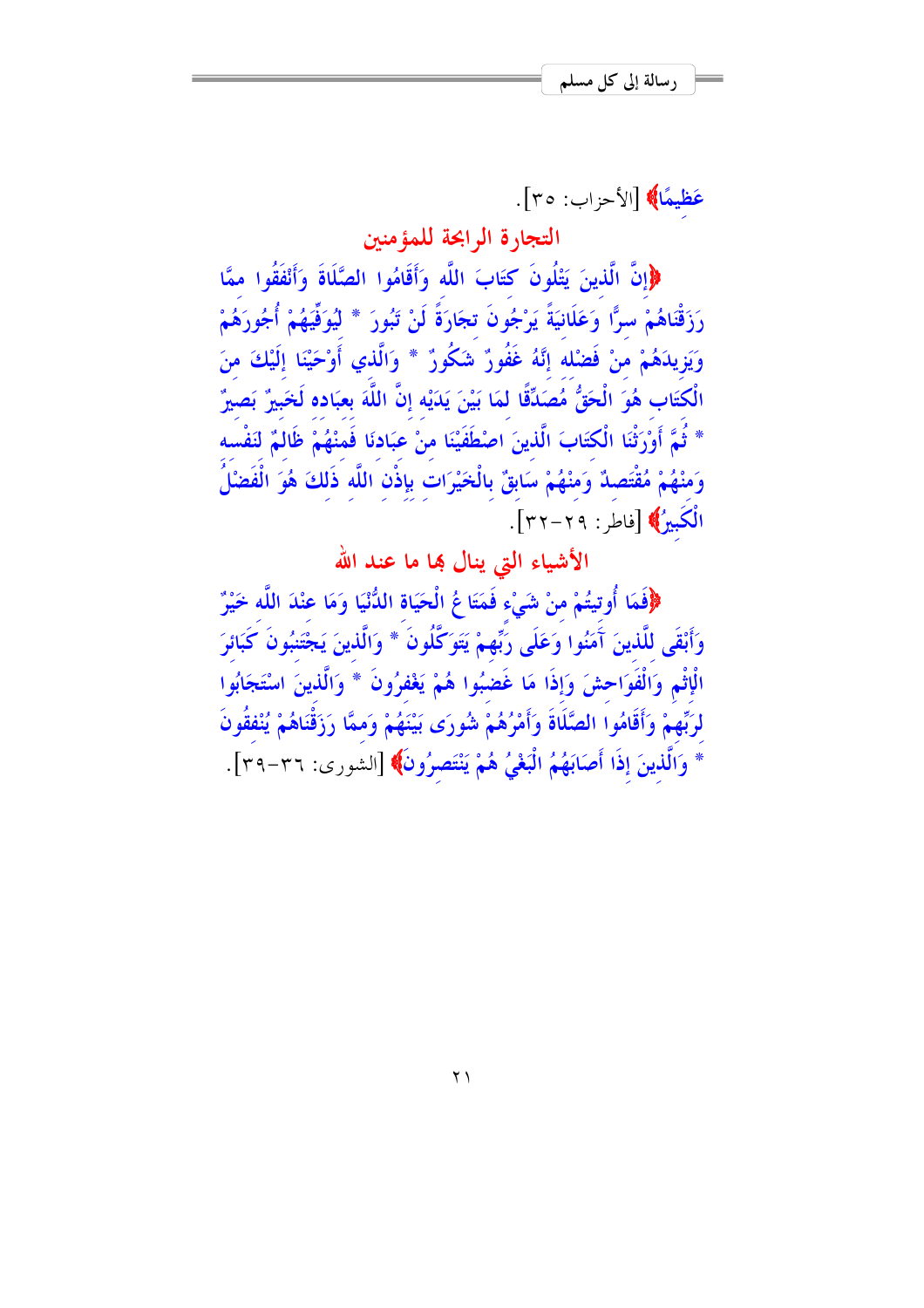عَظِيمًا﴾ [الأحزاب: ٣٥].

التجارة الرابحة للمؤمنين

﴿إِنَّ الَّذِينَ يَتْلُونَ كِتَابَ اللَّه وَأَقَامُوا الصَّلَاةَ وَأَنْفَقُوا ممَّا رَزَقْنَاهُمْ سرًّا وَعَلَانيَةً يَرْجُونَ تجَارَةً لَنْ تَبُورَ \* لَيُوَفِّيَهُمْ أُجُورَهُمْ وَيَزِيدَهُمْ مَنْ فَضْلَهُ إِنَّهُ غَفُورٌ شَكُورٌ \* وَالَّذي أَوْحَيْنَا إِلَيْكَ منَ الْكتَابِ هُوَ الْحَقُّ مُصَدِّقًا لمَا بَيْنَ يَدَيْه إِنَّ اللَّهَ بِعِبَادِه لَخَبِيرٌ بَصِيرٌ ۖ \* ثُمَّ أَوْرَثْنَا الْكتَابَ الَّذينَ اصْطَفَيْنَا منْ عبَادنَا فَمنْهُمْ ظَالمٌ لنَفْسه وَمِنْهُمْ مُقْتَصِدٌ وَمِنْهُمْ سَابِقٌ بِالْخَيْرَاتِ بِإِذْنِ اللَّهِ ذَلِكَ هُوَ الْفَصْلُ الْكَبِيرُ﴾ [فاطر : ٢٩–٢٢].

الأشياء التي ينال بما ما عند الله

﴿فَقَا أُوتِيتُمْ منْ شَيْء فَمَتَا عُ الْحَيَاة اللُّنْيَا وَمَا عِنْدَ اللَّه خَيْرٌ وَأَبْقَى للَّذينَ آَمَنُوا وَعَلَى رَبِّهِمْ يَتَوَكَّلُونَ \* وَالَّذينَ يَجْتَنبُونَ كَبَائرَ الْإِثْمِ وَالْفَوَاحِشَ وَإِذَا مَا غَضِبُوا هُمْ يَغْفِرُونَ \* وَالَّذِينَ اسْتَجَابُوا لرَبِّهِمْ وَأَقَامُوا الصَّلَاةَ وَأَمْرُهُمْ شُورَى بَيْنَهُمْ وَمِمَّا رَزَقْنَاهُمْ يُنْفَقُونَ \* وَالَّذِينَ إِذَا أَصَابَهُمُ الْبَغْيُ هُمْ يَنْتَصِرُونَ﴾ [الشورى: ٣٦-٣٩].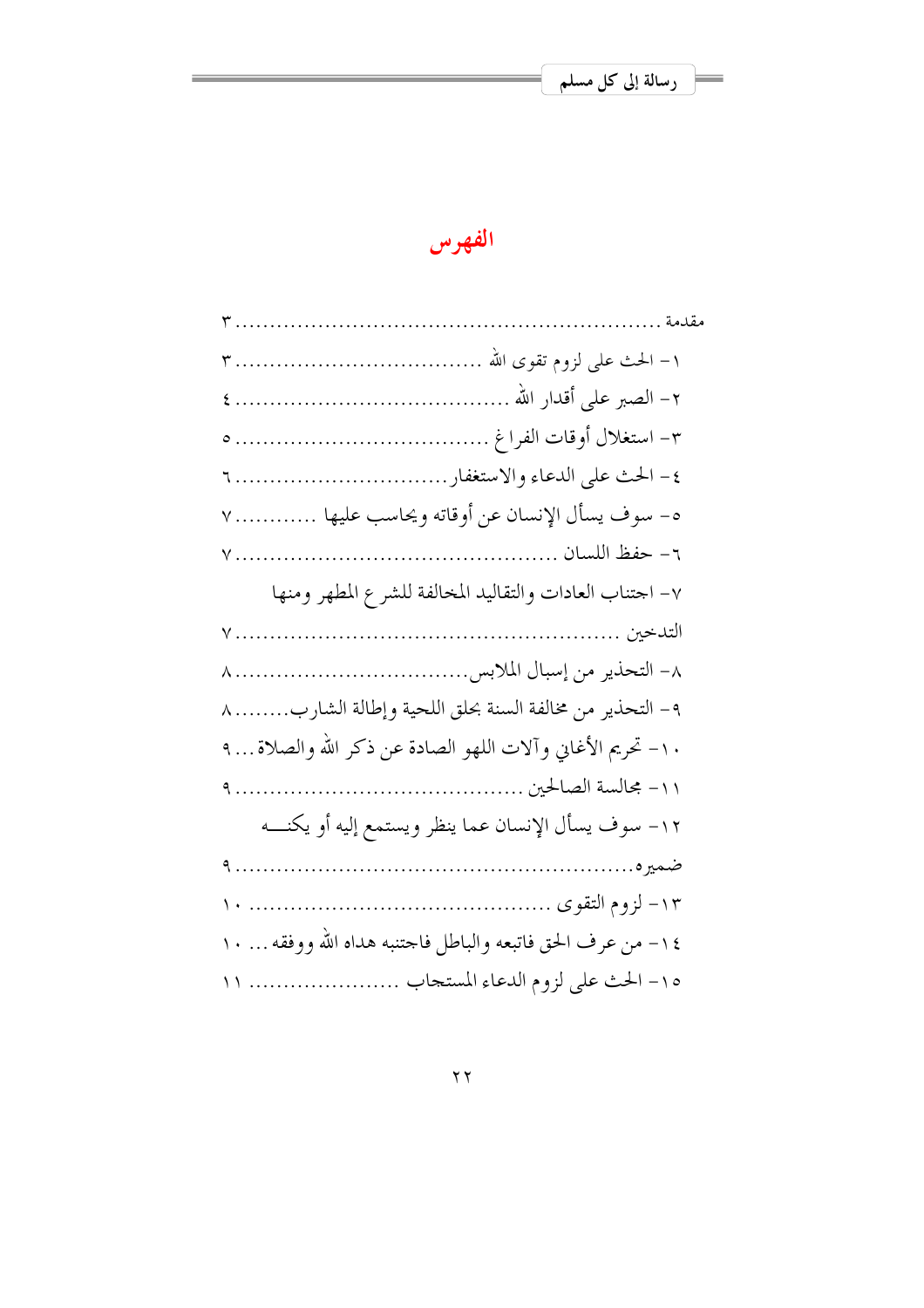# الفهرس

| ه- سوف يسأل الإنسان عن أوقاته ويحاسب عليها  ٧               |
|-------------------------------------------------------------|
|                                                             |
| ٧- احتناب العادات والتقاليد المخالفة للشرع المطهر ومنها     |
|                                                             |
|                                                             |
| ٩- التحذير من مخالفة السنة بحلق اللحية وإطالة الشارب ٨      |
| ١٠- تحريم الأغاني وآلات اللهو الصادة عن ذكر الله والصلاة ٩  |
|                                                             |
| ١٢- سوف يسأل الإنسان عما ينظر ويستمع إليه أو يكنــــه       |
|                                                             |
|                                                             |
| ١٤ - من عرف الحق فاتبعه والباطل فاحتنبه هداه الله ووفقه  ١٠ |
| ١٥- الحث على لزوم الدعاء المستحاب  ١١                       |